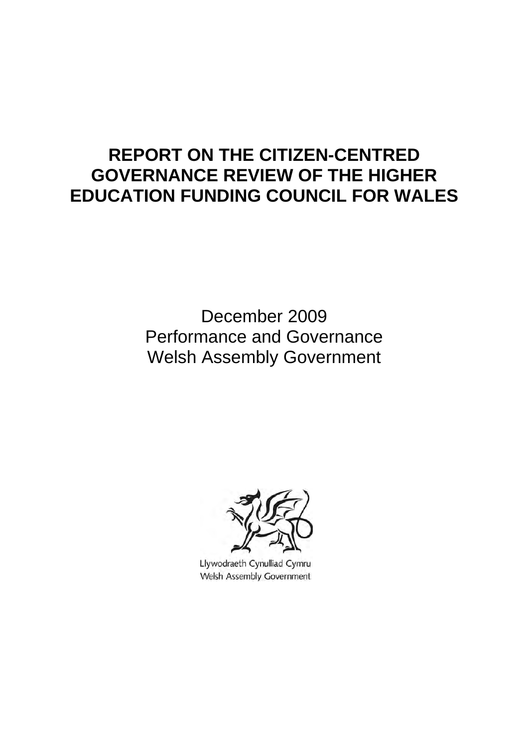# **REPORT ON THE CITIZEN-CENTRED GOVERNANCE REVIEW OF THE HIGHER EDUCATION FUNDING COUNCIL FOR WALES**

 December 2009 Performance and Governance Welsh Assembly Government



Llywodraeth Cynulliad Cymru Welsh Assembly Government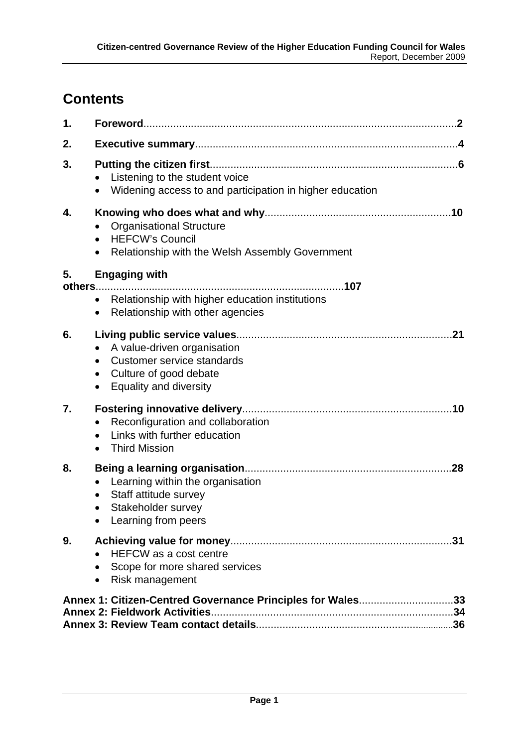# **Contents**

| 1. |                                                                                                                                                                          |  |
|----|--------------------------------------------------------------------------------------------------------------------------------------------------------------------------|--|
| 2. |                                                                                                                                                                          |  |
| 3. | Listening to the student voice<br>Widening access to and participation in higher education<br>$\bullet$                                                                  |  |
| 4. | <b>Organisational Structure</b><br><b>HEFCW's Council</b><br>$\bullet$<br>Relationship with the Welsh Assembly Government<br>$\bullet$                                   |  |
| 5. | <b>Engaging with</b>                                                                                                                                                     |  |
|    | • Relationship with higher education institutions<br>Relationship with other agencies<br>$\bullet$                                                                       |  |
| 6. | A value-driven organisation<br>$\bullet$<br>Customer service standards<br>$\bullet$<br>Culture of good debate<br>$\bullet$<br><b>Equality and diversity</b><br>$\bullet$ |  |
| 7. | Reconfiguration and collaboration<br>$\bullet$<br>Links with further education<br>$\bullet$<br><b>Third Mission</b><br>$\bullet$                                         |  |
| 8. | Learning within the organisation<br>Staff attitude survey<br>Stakeholder survey<br>Learning from peers                                                                   |  |
| 9. | <b>HEFCW</b> as a cost centre<br>Scope for more shared services<br>Risk management<br>$\bullet$                                                                          |  |
|    | Annex 1: Citizen-Centred Governance Principles for Wales33                                                                                                               |  |
|    | <b>Annex 2: Fieldwork Activities.</b>                                                                                                                                    |  |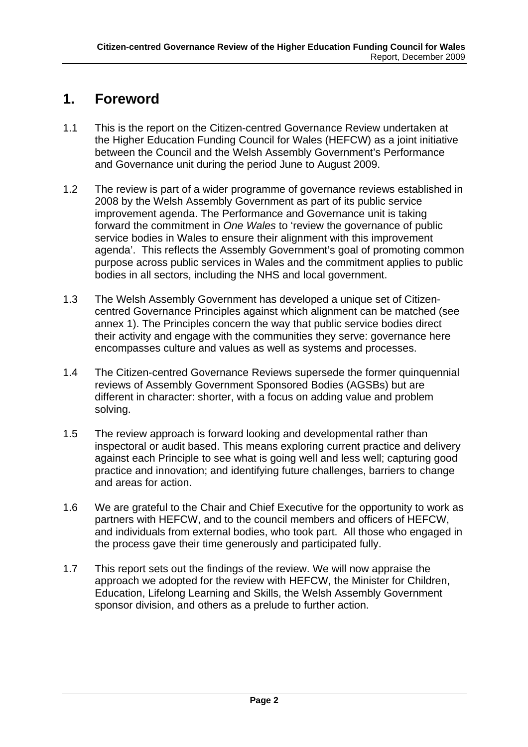# <span id="page-2-0"></span>**1. Foreword**

- 1.1 This is the report on the Citizen-centred Governance Review undertaken at the Higher Education Funding Council for Wales (HEFCW) as a joint initiative between the Council and the Welsh Assembly Government's Performance and Governance unit during the period June to August 2009.
- 1.2 The review is part of a wider programme of governance reviews established in 2008 by the Welsh Assembly Government as part of its public service improvement agenda. The Performance and Governance unit is taking forward the commitment in *One Wales* to 'review the governance of public service bodies in Wales to ensure their alignment with this improvement agenda'. This reflects the Assembly Government's goal of promoting common purpose across public services in Wales and the commitment applies to public bodies in all sectors, including the NHS and local government.
- 1.3 The Welsh Assembly Government has developed a unique set of Citizencentred Governance Principles against which alignment can be matched (see annex 1). The Principles concern the way that public service bodies direct their activity and engage with the communities they serve: governance here encompasses culture and values as well as systems and processes.
- 1.4 The Citizen-centred Governance Reviews supersede the former quinquennial reviews of Assembly Government Sponsored Bodies (AGSBs) but are different in character: shorter, with a focus on adding value and problem solving.
- 1.5 The review approach is forward looking and developmental rather than inspectoral or audit based. This means exploring current practice and delivery against each Principle to see what is going well and less well; capturing good practice and innovation; and identifying future challenges, barriers to change and areas for action.
- 1.6 We are grateful to the Chair and Chief Executive for the opportunity to work as partners with HEFCW, and to the council members and officers of HEFCW, and individuals from external bodies, who took part. All those who engaged in the process gave their time generously and participated fully.
- 1.7 This report sets out the findings of the review. We will now appraise the approach we adopted for the review with HEFCW, the Minister for Children, Education, Lifelong Learning and Skills, the Welsh Assembly Government sponsor division, and others as a prelude to further action.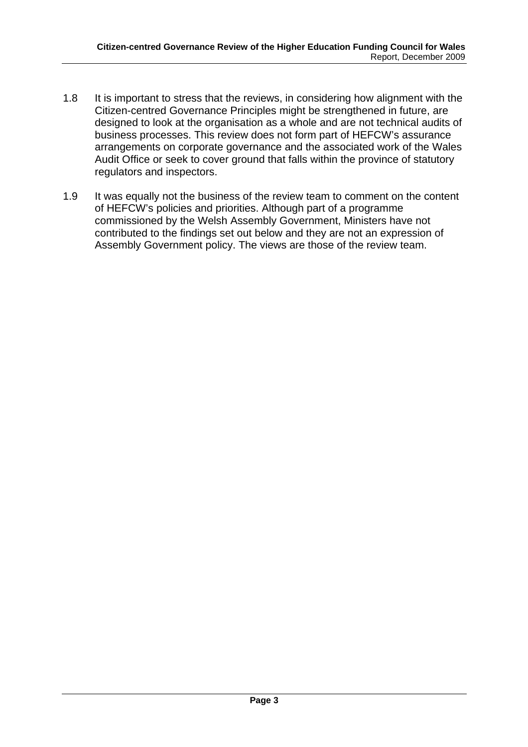- 1.8 It is important to stress that the reviews, in considering how alignment with the Citizen-centred Governance Principles might be strengthened in future, are designed to look at the organisation as a whole and are not technical audits of business processes. This review does not form part of HEFCW's assurance arrangements on corporate governance and the associated work of the Wales Audit Office or seek to cover ground that falls within the province of statutory regulators and inspectors.
- 1.9 It was equally not the business of the review team to comment on the content of HEFCW's policies and priorities. Although part of a programme commissioned by the Welsh Assembly Government, Ministers have not contributed to the findings set out below and they are not an expression of Assembly Government policy. The views are those of the review team.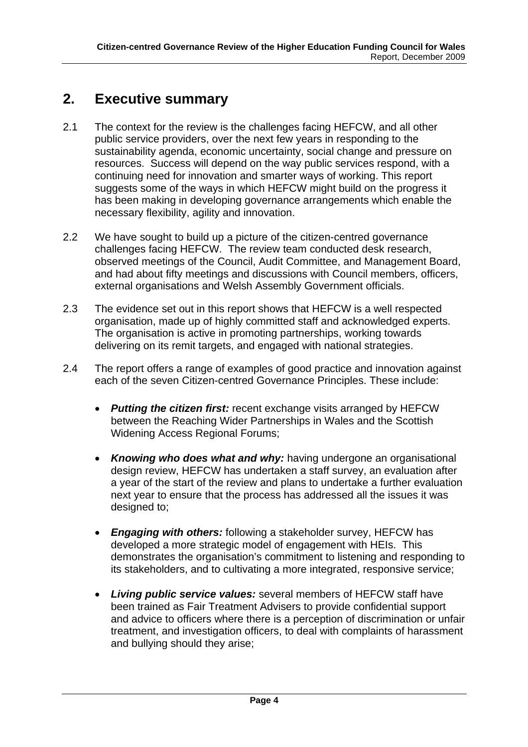# <span id="page-4-0"></span>**2. Executive summary**

- 2.1 The context for the review is the challenges facing HEFCW, and all other public service providers, over the next few years in responding to the sustainability agenda, economic uncertainty, social change and pressure on resources. Success will depend on the way public services respond, with a continuing need for innovation and smarter ways of working. This report suggests some of the ways in which HEFCW might build on the progress it has been making in developing governance arrangements which enable the necessary flexibility, agility and innovation.
- 2.2 We have sought to build up a picture of the citizen-centred governance challenges facing HEFCW. The review team conducted desk research, observed meetings of the Council, Audit Committee, and Management Board, and had about fifty meetings and discussions with Council members, officers, external organisations and Welsh Assembly Government officials.
- 2.3 The evidence set out in this report shows that HEFCW is a well respected organisation, made up of highly committed staff and acknowledged experts. The organisation is active in promoting partnerships, working towards delivering on its remit targets, and engaged with national strategies.
- 2.4 The report offers a range of examples of good practice and innovation against each of the seven Citizen-centred Governance Principles. These include:
	- *Putting the citizen first:* recent exchange visits arranged by HEFCW between the Reaching Wider Partnerships in Wales and the Scottish Widening Access Regional Forums;
	- **Knowing who does what and why:** having undergone an organisational design review, HEFCW has undertaken a staff survey, an evaluation after a year of the start of the review and plans to undertake a further evaluation next year to ensure that the process has addressed all the issues it was designed to;
	- *Engaging with others:* following a stakeholder survey, HEFCW has developed a more strategic model of engagement with HEIs. This demonstrates the organisation's commitment to listening and responding to its stakeholders, and to cultivating a more integrated, responsive service;
	- *Living public service values:* several members of HEFCW staff have been trained as Fair Treatment Advisers to provide confidential support and advice to officers where there is a perception of discrimination or unfair treatment, and investigation officers, to deal with complaints of harassment and bullying should they arise;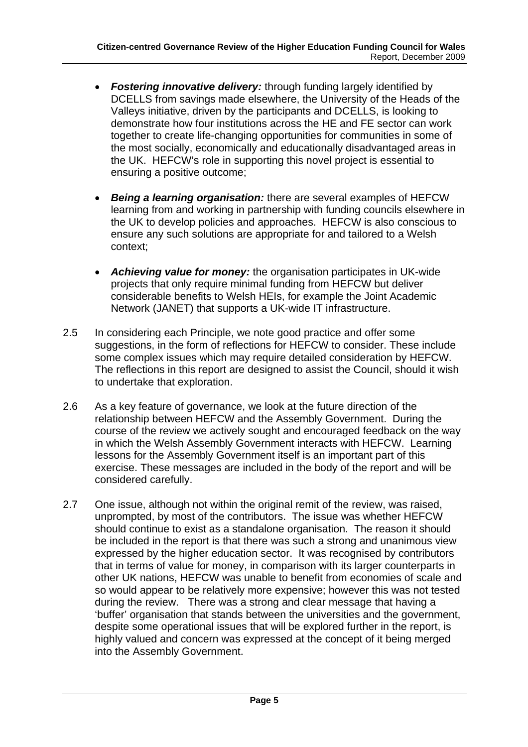- *Fostering innovative delivery:* through funding largely identified by DCELLS from savings made elsewhere, the University of the Heads of the Valleys initiative, driven by the participants and DCELLS, is looking to demonstrate how four institutions across the HE and FE sector can work together to create life-changing opportunities for communities in some of the most socially, economically and educationally disadvantaged areas in the UK. HEFCW's role in supporting this novel project is essential to ensuring a positive outcome;
- *Being a learning organisation:* there are several examples of HEFCW learning from and working in partnership with funding councils elsewhere in the UK to develop policies and approaches. HEFCW is also conscious to ensure any such solutions are appropriate for and tailored to a Welsh context;
- *Achieving value for money:* the organisation participates in UK-wide projects that only require minimal funding from HEFCW but deliver considerable benefits to Welsh HEIs, for example the Joint Academic Network (JANET) that supports a UK-wide IT infrastructure.
- 2.5 In considering each Principle, we note good practice and offer some suggestions, in the form of reflections for HEFCW to consider. These include some complex issues which may require detailed consideration by HEFCW. The reflections in this report are designed to assist the Council, should it wish to undertake that exploration.
- 2.6 As a key feature of governance, we look at the future direction of the relationship between HEFCW and the Assembly Government. During the course of the review we actively sought and encouraged feedback on the way in which the Welsh Assembly Government interacts with HEFCW. Learning lessons for the Assembly Government itself is an important part of this exercise. These messages are included in the body of the report and will be considered carefully.
- 2.7 One issue, although not within the original remit of the review, was raised, unprompted, by most of the contributors. The issue was whether HEFCW should continue to exist as a standalone organisation. The reason it should be included in the report is that there was such a strong and unanimous view expressed by the higher education sector. It was recognised by contributors that in terms of value for money, in comparison with its larger counterparts in other UK nations, HEFCW was unable to benefit from economies of scale and so would appear to be relatively more expensive; however this was not tested during the review. There was a strong and clear message that having a 'buffer' organisation that stands between the universities and the government, despite some operational issues that will be explored further in the report, is highly valued and concern was expressed at the concept of it being merged into the Assembly Government.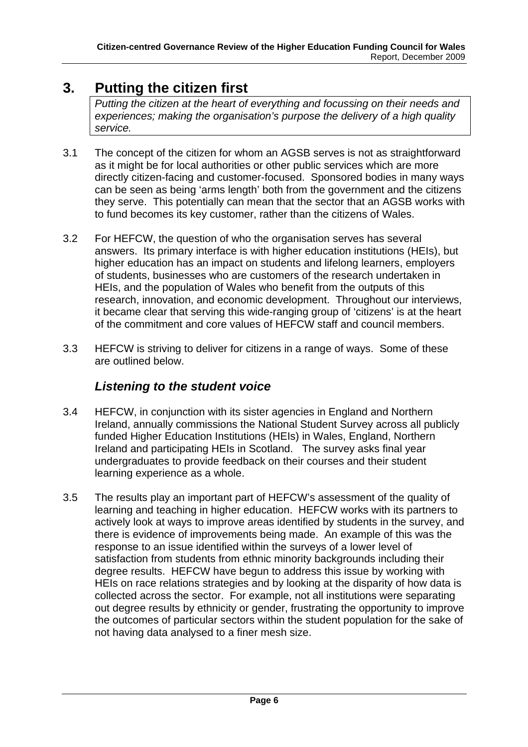# <span id="page-6-0"></span>**3. Putting the citizen first**

*Putting the citizen at the heart of everything and focussing on their needs and experiences; making the organisation's purpose the delivery of a high quality service.* 

- 3.1 The concept of the citizen for whom an AGSB serves is not as straightforward as it might be for local authorities or other public services which are more directly citizen-facing and customer-focused. Sponsored bodies in many ways can be seen as being 'arms length' both from the government and the citizens they serve. This potentially can mean that the sector that an AGSB works with to fund becomes its key customer, rather than the citizens of Wales.
- 3.2 For HEFCW, the question of who the organisation serves has several answers. Its primary interface is with higher education institutions (HEIs), but higher education has an impact on students and lifelong learners, employers of students, businesses who are customers of the research undertaken in HEIs, and the population of Wales who benefit from the outputs of this research, innovation, and economic development. Throughout our interviews, it became clear that serving this wide-ranging group of 'citizens' is at the heart of the commitment and core values of HEFCW staff and council members.
- 3.3 HEFCW is striving to deliver for citizens in a range of ways. Some of these are outlined below.

## *Listening to the student voice*

- 3.4 HEFCW, in conjunction with its sister agencies in England and Northern Ireland, annually commissions the National Student Survey across all publicly funded Higher Education Institutions (HEIs) in Wales, England, Northern Ireland and participating HEIs in Scotland. The survey asks final year undergraduates to provide feedback on their courses and their student learning experience as a whole.
- 3.5 The results play an important part of HEFCW's assessment of the quality of learning and teaching in higher education. HEFCW works with its partners to actively look at ways to improve areas identified by students in the survey, and there is evidence of improvements being made. An example of this was the response to an issue identified within the surveys of a lower level of satisfaction from students from ethnic minority backgrounds including their degree results. HEFCW have begun to address this issue by working with HEIs on race relations strategies and by looking at the disparity of how data is collected across the sector. For example, not all institutions were separating out degree results by ethnicity or gender, frustrating the opportunity to improve the outcomes of particular sectors within the student population for the sake of not having data analysed to a finer mesh size.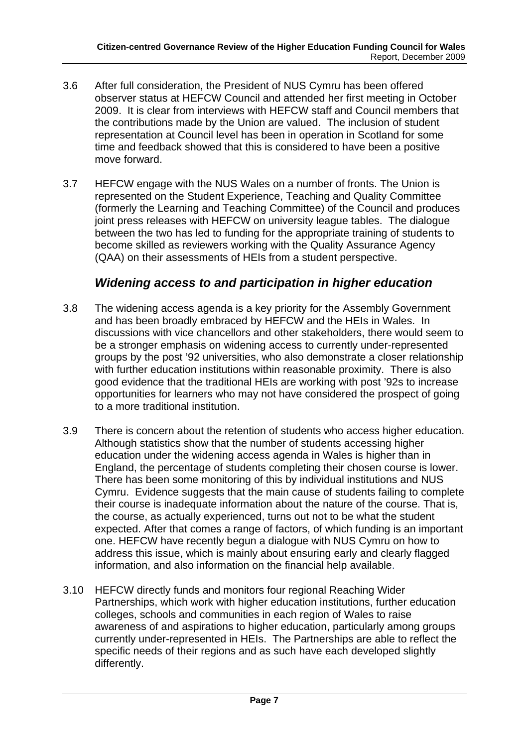- 3.6 After full consideration, the President of NUS Cymru has been offered observer status at HEFCW Council and attended her first meeting in October 2009. It is clear from interviews with HEFCW staff and Council members that the contributions made by the Union are valued. The inclusion of student representation at Council level has been in operation in Scotland for some time and feedback showed that this is considered to have been a positive move forward.
- 3.7 HEFCW engage with the NUS Wales on a number of fronts. The Union is represented on the Student Experience, Teaching and Quality Committee (formerly the Learning and Teaching Committee) of the Council and produces joint press releases with HEFCW on university league tables. The dialogue between the two has led to funding for the appropriate training of students to become skilled as reviewers working with the Quality Assurance Agency (QAA) on their assessments of HEIs from a student perspective.

### *Widening access to and participation in higher education*

- 3.8 The widening access agenda is a key priority for the Assembly Government and has been broadly embraced by HEFCW and the HEIs in Wales. In discussions with vice chancellors and other stakeholders, there would seem to be a stronger emphasis on widening access to currently under-represented groups by the post '92 universities, who also demonstrate a closer relationship with further education institutions within reasonable proximity. There is also good evidence that the traditional HEIs are working with post '92s to increase opportunities for learners who may not have considered the prospect of going to a more traditional institution.
- 3.9 There is concern about the retention of students who access higher education. Although statistics show that the number of students accessing higher education under the widening access agenda in Wales is higher than in England, the percentage of students completing their chosen course is lower. There has been some monitoring of this by individual institutions and NUS Cymru. Evidence suggests that the main cause of students failing to complete their course is inadequate information about the nature of the course. That is, the course, as actually experienced, turns out not to be what the student expected. After that comes a range of factors, of which funding is an important one. HEFCW have recently begun a dialogue with NUS Cymru on how to address this issue, which is mainly about ensuring early and clearly flagged information, and also information on the financial help available.
- 3.10 HEFCW directly funds and monitors four regional Reaching Wider Partnerships, which work with higher education institutions, further education colleges, schools and communities in each region of Wales to raise awareness of and aspirations to higher education, particularly among groups currently under-represented in HEIs. The Partnerships are able to reflect the specific needs of their regions and as such have each developed slightly differently.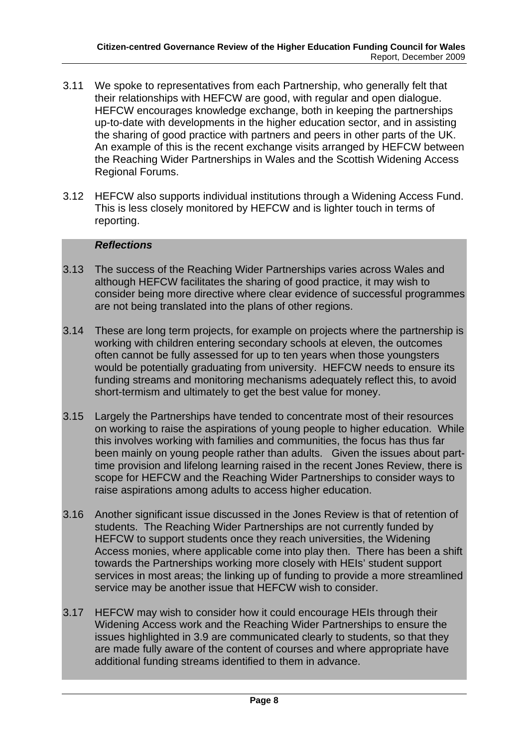- 3.11 We spoke to representatives from each Partnership, who generally felt that their relationships with HEFCW are good, with regular and open dialogue. HEFCW encourages knowledge exchange, both in keeping the partnerships up-to-date with developments in the higher education sector, and in assisting the sharing of good practice with partners and peers in other parts of the UK. An example of this is the recent exchange visits arranged by HEFCW between the Reaching Wider Partnerships in Wales and the Scottish Widening Access Regional Forums.
- 3.12 HEFCW also supports individual institutions through a Widening Access Fund. This is less closely monitored by HEFCW and is lighter touch in terms of reporting.

#### *Reflections*

- 3.13 The success of the Reaching Wider Partnerships varies across Wales and although HEFCW facilitates the sharing of good practice, it may wish to consider being more directive where clear evidence of successful programmes are not being translated into the plans of other regions.
- 3.14 These are long term projects, for example on projects where the partnership is working with children entering secondary schools at eleven, the outcomes often cannot be fully assessed for up to ten years when those youngsters would be potentially graduating from university. HEFCW needs to ensure its funding streams and monitoring mechanisms adequately reflect this, to avoid short-termism and ultimately to get the best value for money.
- 3.15 Largely the Partnerships have tended to concentrate most of their resources on working to raise the aspirations of young people to higher education. While this involves working with families and communities, the focus has thus far been mainly on young people rather than adults. Given the issues about parttime provision and lifelong learning raised in the recent Jones Review, there is scope for HEFCW and the Reaching Wider Partnerships to consider ways to raise aspirations among adults to access higher education.
- 3.16 Another significant issue discussed in the Jones Review is that of retention of students. The Reaching Wider Partnerships are not currently funded by HEFCW to support students once they reach universities, the Widening Access monies, where applicable come into play then. There has been a shift towards the Partnerships working more closely with HEIs' student support services in most areas; the linking up of funding to provide a more streamlined service may be another issue that HEFCW wish to consider.
- 3.17 HEFCW may wish to consider how it could encourage HEIs through their Widening Access work and the Reaching Wider Partnerships to ensure the issues highlighted in 3.9 are communicated clearly to students, so that they are made fully aware of the content of courses and where appropriate have additional funding streams identified to them in advance.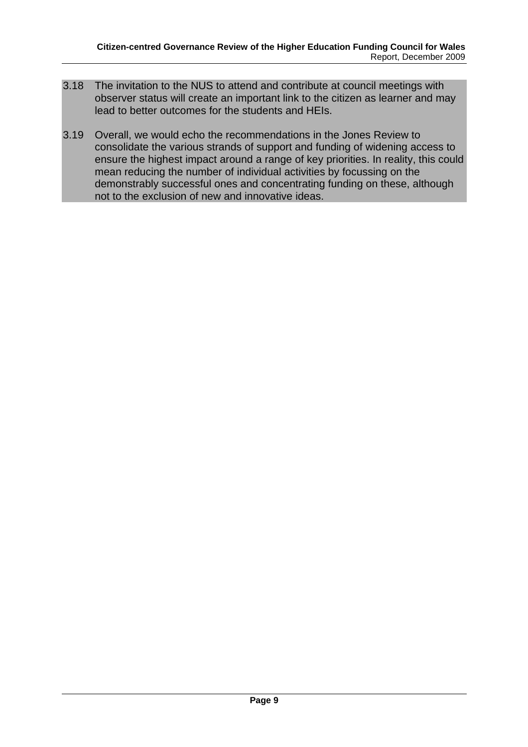- 3.18 The invitation to the NUS to attend and contribute at council meetings with observer status will create an important link to the citizen as learner and may lead to better outcomes for the students and HEIs.
- 3.19 Overall, we would echo the recommendations in the Jones Review to consolidate the various strands of support and funding of widening access to ensure the highest impact around a range of key priorities. In reality, this could mean reducing the number of individual activities by focussing on the demonstrably successful ones and concentrating funding on these, although not to the exclusion of new and innovative ideas.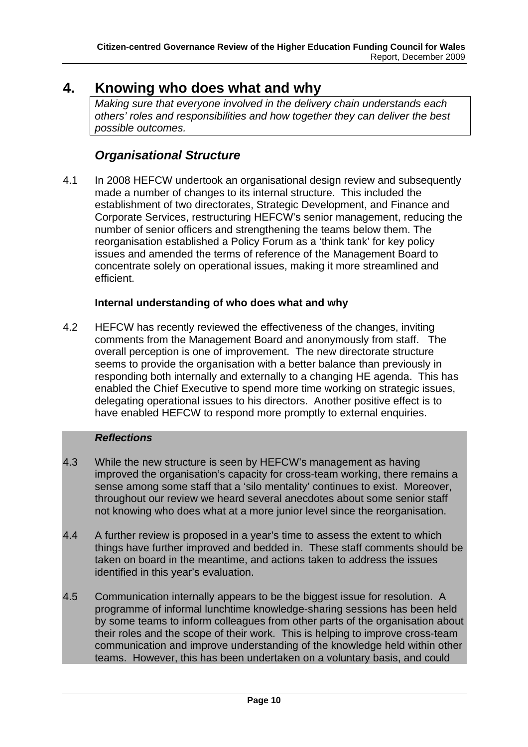# <span id="page-10-0"></span>**4. Knowing who does what and why**

*Making sure that everyone involved in the delivery chain understands each others' roles and responsibilities and how together they can deliver the best possible outcomes.* 

## *Organisational Structure*

4.1 In 2008 HEFCW undertook an organisational design review and subsequently made a number of changes to its internal structure. This included the establishment of two directorates, Strategic Development, and Finance and Corporate Services, restructuring HEFCW's senior management, reducing the number of senior officers and strengthening the teams below them. The reorganisation established a Policy Forum as a 'think tank' for key policy issues and amended the terms of reference of the Management Board to concentrate solely on operational issues, making it more streamlined and efficient.

### **Internal understanding of who does what and why**

4.2 HEFCW has recently reviewed the effectiveness of the changes, inviting comments from the Management Board and anonymously from staff. The overall perception is one of improvement. The new directorate structure seems to provide the organisation with a better balance than previously in responding both internally and externally to a changing HE agenda. This has enabled the Chief Executive to spend more time working on strategic issues, delegating operational issues to his directors. Another positive effect is to have enabled HEFCW to respond more promptly to external enquiries.

### *Reflections*

- 4.3 While the new structure is seen by HEFCW's management as having improved the organisation's capacity for cross-team working, there remains a sense among some staff that a 'silo mentality' continues to exist. Moreover, throughout our review we heard several anecdotes about some senior staff not knowing who does what at a more junior level since the reorganisation.
- 4.4 A further review is proposed in a year's time to assess the extent to which things have further improved and bedded in. These staff comments should be taken on board in the meantime, and actions taken to address the issues identified in this year's evaluation.
- 4.5 Communication internally appears to be the biggest issue for resolution. A programme of informal lunchtime knowledge-sharing sessions has been held by some teams to inform colleagues from other parts of the organisation about their roles and the scope of their work. This is helping to improve cross-team communication and improve understanding of the knowledge held within other teams. However, this has been undertaken on a voluntary basis, and could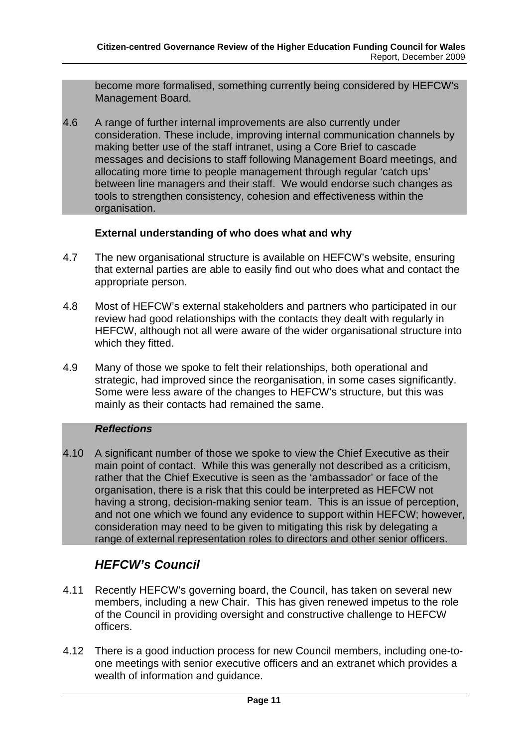become more formalised, something currently being considered by HEFCW's Management Board.

4.6 A range of further internal improvements are also currently under consideration. These include, improving internal communication channels by making better use of the staff intranet, using a Core Brief to cascade messages and decisions to staff following Management Board meetings, and allocating more time to people management through regular 'catch ups' between line managers and their staff. We would endorse such changes as tools to strengthen consistency, cohesion and effectiveness within the organisation.

### **External understanding of who does what and why**

- 4.7 The new organisational structure is available on HEFCW's website, ensuring that external parties are able to easily find out who does what and contact the appropriate person.
- 4.8 Most of HEFCW's external stakeholders and partners who participated in our review had good relationships with the contacts they dealt with regularly in HEFCW, although not all were aware of the wider organisational structure into which they fitted.
- 4.9 Many of those we spoke to felt their relationships, both operational and strategic, had improved since the reorganisation, in some cases significantly. Some were less aware of the changes to HEFCW's structure, but this was mainly as their contacts had remained the same.

#### *Reflections*

4.10 A significant number of those we spoke to view the Chief Executive as their main point of contact. While this was generally not described as a criticism, rather that the Chief Executive is seen as the 'ambassador' or face of the organisation, there is a risk that this could be interpreted as HEFCW not having a strong, decision-making senior team. This is an issue of perception, and not one which we found any evidence to support within HEFCW; however, consideration may need to be given to mitigating this risk by delegating a range of external representation roles to directors and other senior officers.

## *HEFCW's Council*

- 4.11 Recently HEFCW's governing board, the Council, has taken on several new members, including a new Chair. This has given renewed impetus to the role of the Council in providing oversight and constructive challenge to HEFCW officers.
- 4.12 There is a good induction process for new Council members, including one-toone meetings with senior executive officers and an extranet which provides a wealth of information and guidance.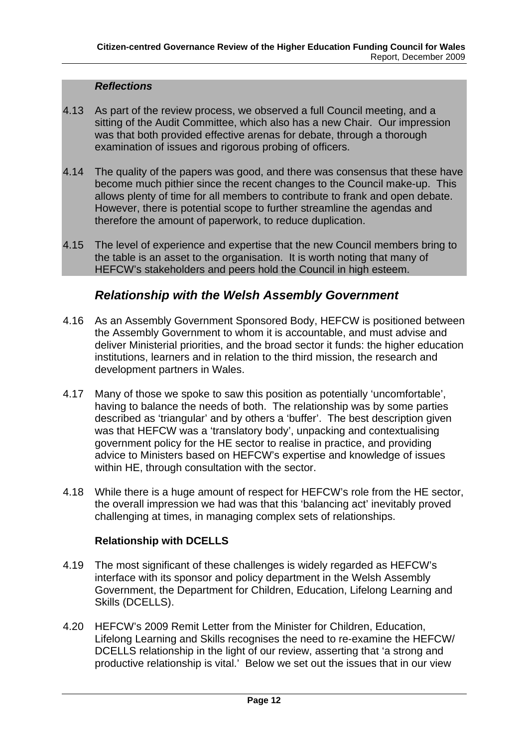#### *Reflections*

- 4.13 As part of the review process, we observed a full Council meeting, and a sitting of the Audit Committee, which also has a new Chair. Our impression was that both provided effective arenas for debate, through a thorough examination of issues and rigorous probing of officers.
- 4.14 The quality of the papers was good, and there was consensus that these have become much pithier since the recent changes to the Council make-up. This allows plenty of time for all members to contribute to frank and open debate. However, there is potential scope to further streamline the agendas and therefore the amount of paperwork, to reduce duplication.
- 4.15 The level of experience and expertise that the new Council members bring to the table is an asset to the organisation. It is worth noting that many of HEFCW's stakeholders and peers hold the Council in high esteem.

## *Relationship with the Welsh Assembly Government*

- 4.16 As an Assembly Government Sponsored Body, HEFCW is positioned between the Assembly Government to whom it is accountable, and must advise and deliver Ministerial priorities, and the broad sector it funds: the higher education institutions, learners and in relation to the third mission, the research and development partners in Wales.
- 4.17 Many of those we spoke to saw this position as potentially 'uncomfortable', having to balance the needs of both. The relationship was by some parties described as 'triangular' and by others a 'buffer'. The best description given was that HEFCW was a 'translatory body', unpacking and contextualising government policy for the HE sector to realise in practice, and providing advice to Ministers based on HEFCW's expertise and knowledge of issues within HE, through consultation with the sector.
- 4.18 While there is a huge amount of respect for HEFCW's role from the HE sector, the overall impression we had was that this 'balancing act' inevitably proved challenging at times, in managing complex sets of relationships.

### **Relationship with DCELLS**

- 4.19 The most significant of these challenges is widely regarded as HEFCW's interface with its sponsor and policy department in the Welsh Assembly Government, the Department for Children, Education, Lifelong Learning and Skills (DCELLS).
- 4.20 HEFCW's 2009 Remit Letter from the Minister for Children, Education, Lifelong Learning and Skills recognises the need to re-examine the HEFCW/ DCELLS relationship in the light of our review, asserting that 'a strong and productive relationship is vital.' Below we set out the issues that in our view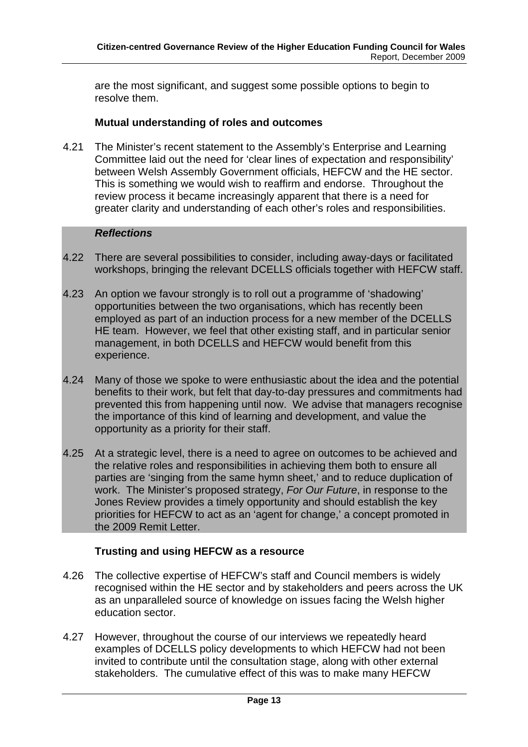are the most significant, and suggest some possible options to begin to resolve them.

#### **Mutual understanding of roles and outcomes**

4.21 The Minister's recent statement to the Assembly's Enterprise and Learning Committee laid out the need for 'clear lines of expectation and responsibility' between Welsh Assembly Government officials, HEFCW and the HE sector. This is something we would wish to reaffirm and endorse. Throughout the review process it became increasingly apparent that there is a need for greater clarity and understanding of each other's roles and responsibilities.

#### *Reflections*

- 4.22 There are several possibilities to consider, including away-days or facilitated workshops, bringing the relevant DCELLS officials together with HEFCW staff.
- 4.23 An option we favour strongly is to roll out a programme of 'shadowing' opportunities between the two organisations, which has recently been employed as part of an induction process for a new member of the DCELLS HE team. However, we feel that other existing staff, and in particular senior management, in both DCELLS and HEFCW would benefit from this experience.
- 4.24 Many of those we spoke to were enthusiastic about the idea and the potential benefits to their work, but felt that day-to-day pressures and commitments had prevented this from happening until now. We advise that managers recognise the importance of this kind of learning and development, and value the opportunity as a priority for their staff.
- 4.25 At a strategic level, there is a need to agree on outcomes to be achieved and the relative roles and responsibilities in achieving them both to ensure all parties are 'singing from the same hymn sheet,' and to reduce duplication of work. The Minister's proposed strategy, *For Our Future*, in response to the Jones Review provides a timely opportunity and should establish the key priorities for HEFCW to act as an 'agent for change,' a concept promoted in the 2009 Remit Letter.

### **Trusting and using HEFCW as a resource**

- 4.26 The collective expertise of HEFCW's staff and Council members is widely recognised within the HE sector and by stakeholders and peers across the UK as an unparalleled source of knowledge on issues facing the Welsh higher education sector.
- 4.27 However, throughout the course of our interviews we repeatedly heard examples of DCELLS policy developments to which HEFCW had not been invited to contribute until the consultation stage, along with other external stakeholders. The cumulative effect of this was to make many HEFCW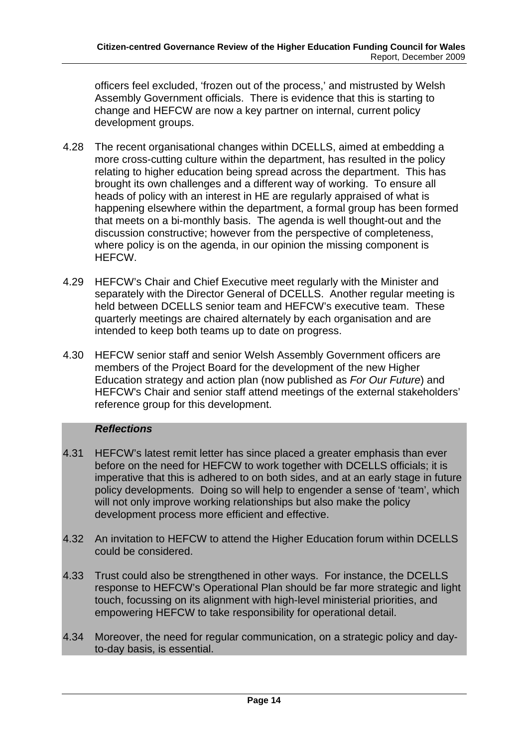officers feel excluded, 'frozen out of the process,' and mistrusted by Welsh Assembly Government officials. There is evidence that this is starting to change and HEFCW are now a key partner on internal, current policy development groups.

- 4.28 The recent organisational changes within DCELLS, aimed at embedding a more cross-cutting culture within the department, has resulted in the policy relating to higher education being spread across the department. This has brought its own challenges and a different way of working. To ensure all heads of policy with an interest in HE are regularly appraised of what is happening elsewhere within the department, a formal group has been formed that meets on a bi-monthly basis. The agenda is well thought-out and the discussion constructive; however from the perspective of completeness, where policy is on the agenda, in our opinion the missing component is HEFCW.
- 4.29 HEFCW's Chair and Chief Executive meet regularly with the Minister and separately with the Director General of DCELLS. Another regular meeting is held between DCELLS senior team and HEFCW's executive team. These quarterly meetings are chaired alternately by each organisation and are intended to keep both teams up to date on progress.
- 4.30 HEFCW senior staff and senior Welsh Assembly Government officers are members of the Project Board for the development of the new Higher Education strategy and action plan (now published as *For Our Future*) and HEFCW's Chair and senior staff attend meetings of the external stakeholders' reference group for this development.

### *Reflections*

- 4.31 HEFCW's latest remit letter has since placed a greater emphasis than ever before on the need for HEFCW to work together with DCELLS officials; it is imperative that this is adhered to on both sides, and at an early stage in future policy developments. Doing so will help to engender a sense of 'team', which will not only improve working relationships but also make the policy development process more efficient and effective.
- 4.32 An invitation to HEFCW to attend the Higher Education forum within DCELLS could be considered.
- 4.33 Trust could also be strengthened in other ways. For instance, the DCELLS response to HEFCW's Operational Plan should be far more strategic and light touch, focussing on its alignment with high-level ministerial priorities, and empowering HEFCW to take responsibility for operational detail.
- 4.34 Moreover, the need for regular communication, on a strategic policy and dayto-day basis, is essential.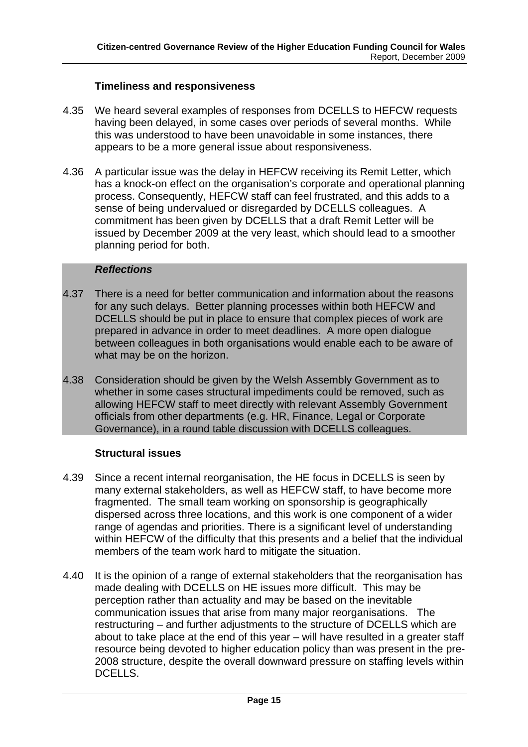### **Timeliness and responsiveness**

- 4.35 We heard several examples of responses from DCELLS to HEFCW requests having been delayed, in some cases over periods of several months. While this was understood to have been unavoidable in some instances, there appears to be a more general issue about responsiveness.
- 4.36 A particular issue was the delay in HEFCW receiving its Remit Letter, which has a knock-on effect on the organisation's corporate and operational planning process. Consequently, HEFCW staff can feel frustrated, and this adds to a sense of being undervalued or disregarded by DCELLS colleagues. A commitment has been given by DCELLS that a draft Remit Letter will be issued by December 2009 at the very least, which should lead to a smoother planning period for both.

#### *Reflections*

- 4.37 There is a need for better communication and information about the reasons for any such delays. Better planning processes within both HEFCW and DCELLS should be put in place to ensure that complex pieces of work are prepared in advance in order to meet deadlines. A more open dialogue between colleagues in both organisations would enable each to be aware of what may be on the horizon.
- 4.38 Consideration should be given by the Welsh Assembly Government as to whether in some cases structural impediments could be removed, such as allowing HEFCW staff to meet directly with relevant Assembly Government officials from other departments (e.g. HR, Finance, Legal or Corporate Governance), in a round table discussion with DCELLS colleagues.

#### **Structural issues**

- 4.39 Since a recent internal reorganisation, the HE focus in DCELLS is seen by many external stakeholders, as well as HEFCW staff, to have become more fragmented. The small team working on sponsorship is geographically dispersed across three locations, and this work is one component of a wider range of agendas and priorities. There is a significant level of understanding within HEFCW of the difficulty that this presents and a belief that the individual members of the team work hard to mitigate the situation.
- 4.40 It is the opinion of a range of external stakeholders that the reorganisation has made dealing with DCELLS on HE issues more difficult. This may be perception rather than actuality and may be based on the inevitable communication issues that arise from many major reorganisations. The restructuring – and further adjustments to the structure of DCELLS which are about to take place at the end of this year – will have resulted in a greater staff resource being devoted to higher education policy than was present in the pre-2008 structure, despite the overall downward pressure on staffing levels within DCELLS.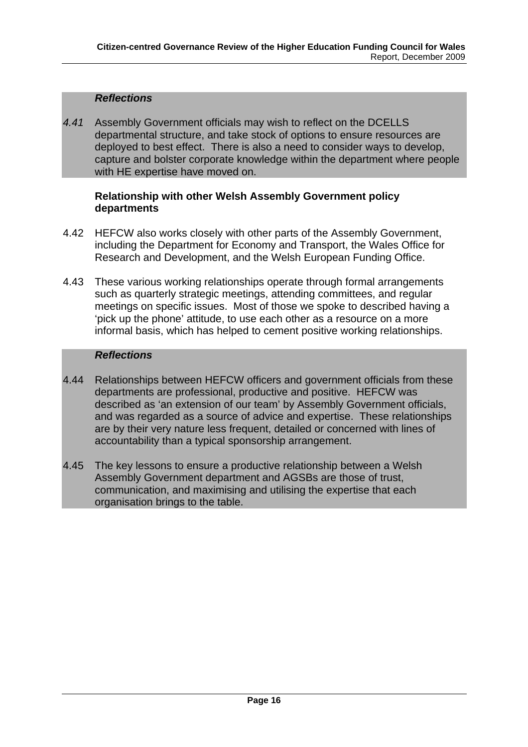### *Reflections*

*4.41* Assembly Government officials may wish to reflect on the DCELLS departmental structure, and take stock of options to ensure resources are deployed to best effect. There is also a need to consider ways to develop, capture and bolster corporate knowledge within the department where people with HE expertise have moved on.

### **Relationship with other Welsh Assembly Government policy departments**

- 4.42 HEFCW also works closely with other parts of the Assembly Government, including the Department for Economy and Transport, the Wales Office for Research and Development, and the Welsh European Funding Office.
- 4.43 These various working relationships operate through formal arrangements such as quarterly strategic meetings, attending committees, and regular meetings on specific issues. Most of those we spoke to described having a 'pick up the phone' attitude, to use each other as a resource on a more informal basis, which has helped to cement positive working relationships.

### *Reflections*

- 4.44 Relationships between HEFCW officers and government officials from these departments are professional, productive and positive. HEFCW was described as 'an extension of our team' by Assembly Government officials, and was regarded as a source of advice and expertise. These relationships are by their very nature less frequent, detailed or concerned with lines of accountability than a typical sponsorship arrangement.
- 4.45 The key lessons to ensure a productive relationship between a Welsh Assembly Government department and AGSBs are those of trust, communication, and maximising and utilising the expertise that each organisation brings to the table.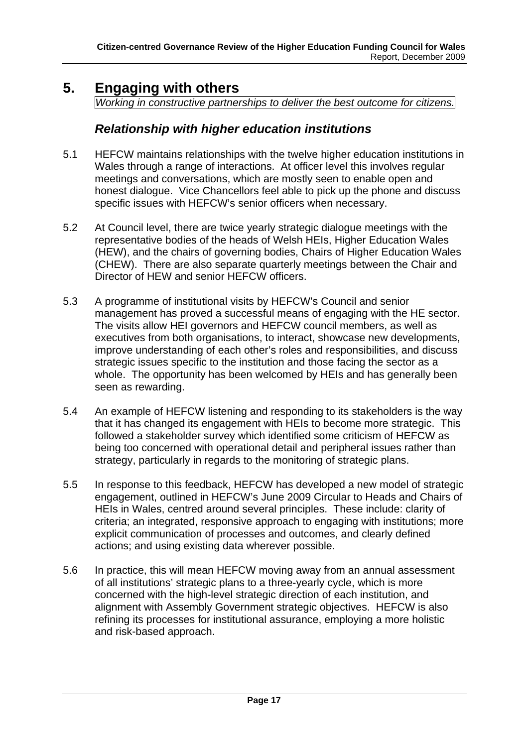# <span id="page-17-0"></span>**5. Engaging with others**

*Working in constructive partnerships to deliver the best outcome for citizens.* 

### *Relationship with higher education institutions*

- 5.1 HEFCW maintains relationships with the twelve higher education institutions in Wales through a range of interactions. At officer level this involves regular meetings and conversations, which are mostly seen to enable open and honest dialogue. Vice Chancellors feel able to pick up the phone and discuss specific issues with HEFCW's senior officers when necessary.
- 5.2 At Council level, there are twice yearly strategic dialogue meetings with the representative bodies of the heads of Welsh HEIs, Higher Education Wales (HEW), and the chairs of governing bodies, Chairs of Higher Education Wales (CHEW). There are also separate quarterly meetings between the Chair and Director of HEW and senior HEFCW officers.
- 5.3 A programme of institutional visits by HEFCW's Council and senior management has proved a successful means of engaging with the HE sector. The visits allow HEI governors and HEFCW council members, as well as executives from both organisations, to interact, showcase new developments, improve understanding of each other's roles and responsibilities, and discuss strategic issues specific to the institution and those facing the sector as a whole. The opportunity has been welcomed by HEIs and has generally been seen as rewarding.
- 5.4 An example of HEFCW listening and responding to its stakeholders is the way that it has changed its engagement with HEIs to become more strategic. This followed a stakeholder survey which identified some criticism of HEFCW as being too concerned with operational detail and peripheral issues rather than strategy, particularly in regards to the monitoring of strategic plans.
- 5.5 In response to this feedback, HEFCW has developed a new model of strategic engagement, outlined in HEFCW's June 2009 Circular to Heads and Chairs of HEIs in Wales, centred around several principles. These include: clarity of criteria; an integrated, responsive approach to engaging with institutions; more explicit communication of processes and outcomes, and clearly defined actions; and using existing data wherever possible.
- 5.6 In practice, this will mean HEFCW moving away from an annual assessment of all institutions' strategic plans to a three-yearly cycle, which is more concerned with the high-level strategic direction of each institution, and alignment with Assembly Government strategic objectives. HEFCW is also refining its processes for institutional assurance, employing a more holistic and risk-based approach.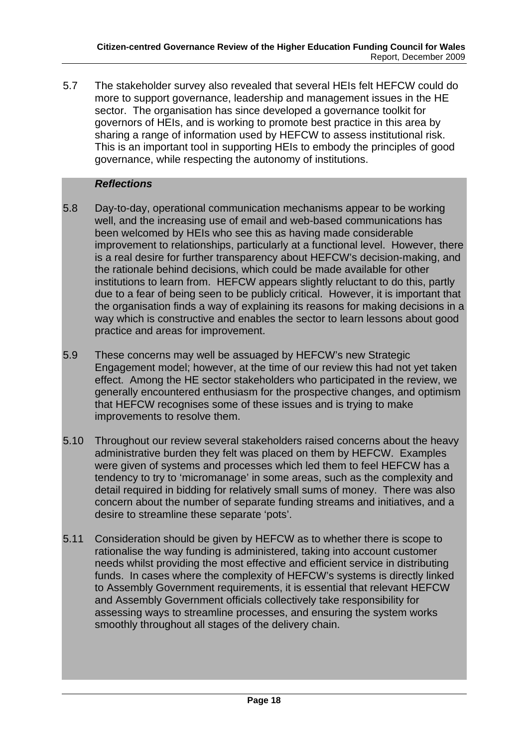5.7 The stakeholder survey also revealed that several HEIs felt HEFCW could do more to support governance, leadership and management issues in the HE sector. The organisation has since developed a governance toolkit for governors of HEIs, and is working to promote best practice in this area by sharing a range of information used by HEFCW to assess institutional risk. This is an important tool in supporting HEIs to embody the principles of good governance, while respecting the autonomy of institutions.

### *Reflections*

- 5.8 Day-to-day, operational communication mechanisms appear to be working well, and the increasing use of email and web-based communications has been welcomed by HEIs who see this as having made considerable improvement to relationships, particularly at a functional level. However, there is a real desire for further transparency about HEFCW's decision-making, and the rationale behind decisions, which could be made available for other institutions to learn from. HEFCW appears slightly reluctant to do this, partly due to a fear of being seen to be publicly critical. However, it is important that the organisation finds a way of explaining its reasons for making decisions in a way which is constructive and enables the sector to learn lessons about good practice and areas for improvement.
- 5.9 These concerns may well be assuaged by HEFCW's new Strategic Engagement model; however, at the time of our review this had not yet taken effect. Among the HE sector stakeholders who participated in the review, we generally encountered enthusiasm for the prospective changes, and optimism that HEFCW recognises some of these issues and is trying to make improvements to resolve them.
- 5.10 Throughout our review several stakeholders raised concerns about the heavy administrative burden they felt was placed on them by HEFCW. Examples were given of systems and processes which led them to feel HEFCW has a tendency to try to 'micromanage' in some areas, such as the complexity and detail required in bidding for relatively small sums of money. There was also concern about the number of separate funding streams and initiatives, and a desire to streamline these separate 'pots'.
- 5.11 Consideration should be given by HEFCW as to whether there is scope to rationalise the way funding is administered, taking into account customer needs whilst providing the most effective and efficient service in distributing funds. In cases where the complexity of HEFCW's systems is directly linked to Assembly Government requirements, it is essential that relevant HEFCW and Assembly Government officials collectively take responsibility for assessing ways to streamline processes, and ensuring the system works smoothly throughout all stages of the delivery chain.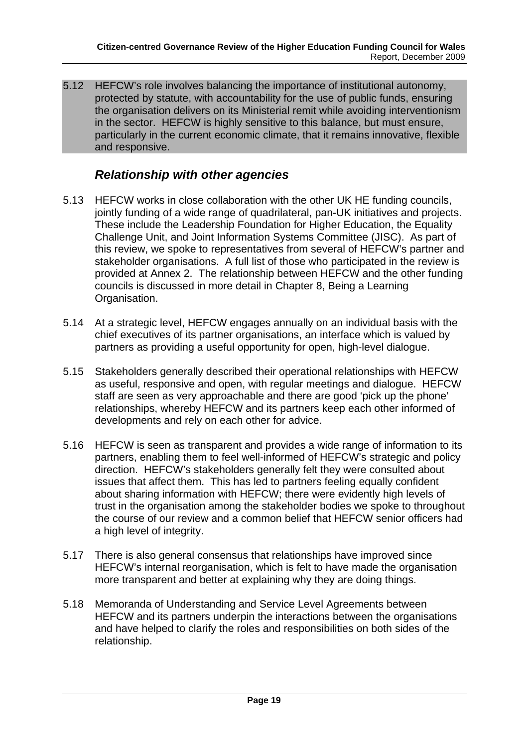5.12 HEFCW's role involves balancing the importance of institutional autonomy, protected by statute, with accountability for the use of public funds, ensuring the organisation delivers on its Ministerial remit while avoiding interventionism in the sector. HEFCW is highly sensitive to this balance, but must ensure, particularly in the current economic climate, that it remains innovative, flexible and responsive.

## *Relationship with other agencies*

- 5.13 HEFCW works in close collaboration with the other UK HE funding councils, jointly funding of a wide range of quadrilateral, pan-UK initiatives and projects. These include the Leadership Foundation for Higher Education, the Equality Challenge Unit, and Joint Information Systems Committee (JISC). As part of this review, we spoke to representatives from several of HEFCW's partner and stakeholder organisations. A full list of those who participated in the review is provided at Annex 2. The relationship between HEFCW and the other funding councils is discussed in more detail in Chapter 8, Being a Learning Organisation.
- 5.14 At a strategic level, HEFCW engages annually on an individual basis with the chief executives of its partner organisations, an interface which is valued by partners as providing a useful opportunity for open, high-level dialogue.
- 5.15 Stakeholders generally described their operational relationships with HEFCW as useful, responsive and open, with regular meetings and dialogue. HEFCW staff are seen as very approachable and there are good 'pick up the phone' relationships, whereby HEFCW and its partners keep each other informed of developments and rely on each other for advice.
- 5.16 HEFCW is seen as transparent and provides a wide range of information to its partners, enabling them to feel well-informed of HEFCW's strategic and policy direction. HEFCW's stakeholders generally felt they were consulted about issues that affect them. This has led to partners feeling equally confident about sharing information with HEFCW; there were evidently high levels of trust in the organisation among the stakeholder bodies we spoke to throughout the course of our review and a common belief that HEFCW senior officers had a high level of integrity.
- 5.17 There is also general consensus that relationships have improved since HEFCW's internal reorganisation, which is felt to have made the organisation more transparent and better at explaining why they are doing things.
- 5.18 Memoranda of Understanding and Service Level Agreements between HEFCW and its partners underpin the interactions between the organisations and have helped to clarify the roles and responsibilities on both sides of the relationship.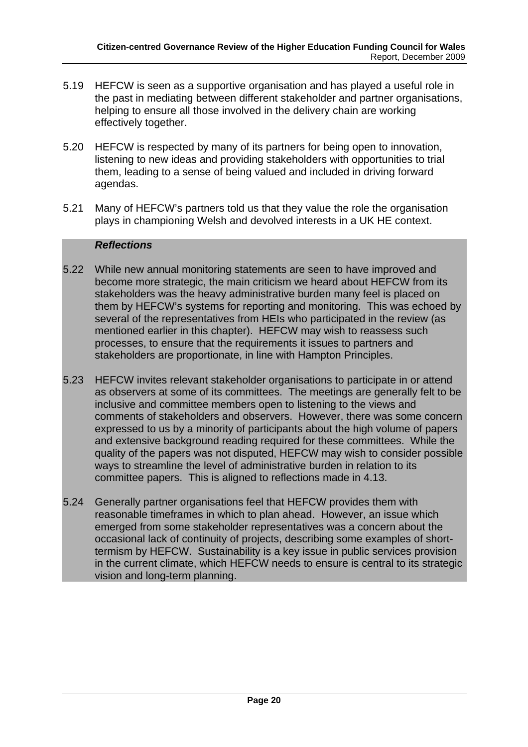- 5.19 HEFCW is seen as a supportive organisation and has played a useful role in the past in mediating between different stakeholder and partner organisations, helping to ensure all those involved in the delivery chain are working effectively together.
- 5.20 HEFCW is respected by many of its partners for being open to innovation, listening to new ideas and providing stakeholders with opportunities to trial them, leading to a sense of being valued and included in driving forward agendas.
- 5.21 Many of HEFCW's partners told us that they value the role the organisation plays in championing Welsh and devolved interests in a UK HE context.

#### *Reflections*

- 5.22 While new annual monitoring statements are seen to have improved and become more strategic, the main criticism we heard about HEFCW from its stakeholders was the heavy administrative burden many feel is placed on them by HEFCW's systems for reporting and monitoring. This was echoed by several of the representatives from HEIs who participated in the review (as mentioned earlier in this chapter). HEFCW may wish to reassess such processes, to ensure that the requirements it issues to partners and stakeholders are proportionate, in line with Hampton Principles.
- 5.23 HEFCW invites relevant stakeholder organisations to participate in or attend as observers at some of its committees. The meetings are generally felt to be inclusive and committee members open to listening to the views and comments of stakeholders and observers. However, there was some concern expressed to us by a minority of participants about the high volume of papers and extensive background reading required for these committees. While the quality of the papers was not disputed, HEFCW may wish to consider possible ways to streamline the level of administrative burden in relation to its committee papers. This is aligned to reflections made in 4.13.
- 5.24 Generally partner organisations feel that HEFCW provides them with reasonable timeframes in which to plan ahead. However, an issue which emerged from some stakeholder representatives was a concern about the occasional lack of continuity of projects, describing some examples of shorttermism by HEFCW. Sustainability is a key issue in public services provision in the current climate, which HEFCW needs to ensure is central to its strategic vision and long-term planning.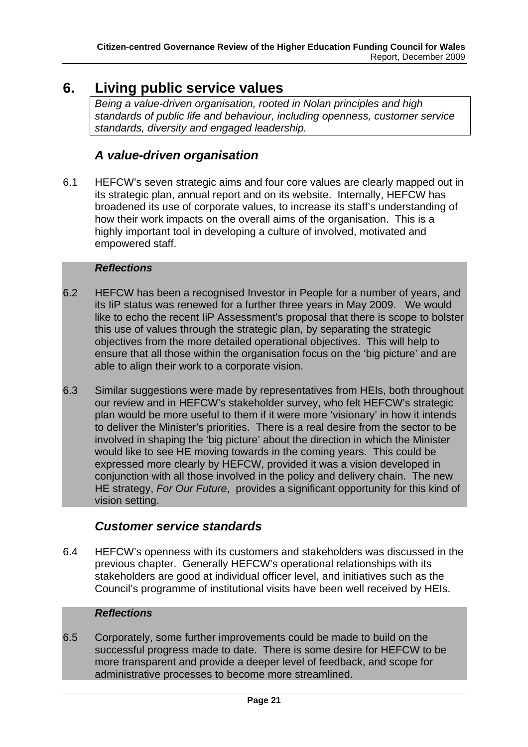# <span id="page-21-0"></span>**6. Living public service values**

*Being a value-driven organisation, rooted in Nolan principles and high standards of public life and behaviour, including openness, customer service standards, diversity and engaged leadership.* 

### *A value-driven organisation*

6.1 HEFCW's seven strategic aims and four core values are clearly mapped out in its strategic plan, annual report and on its website. Internally, HEFCW has broadened its use of corporate values, to increase its staff's understanding of how their work impacts on the overall aims of the organisation. This is a highly important tool in developing a culture of involved, motivated and empowered staff.

### *Reflections*

- 6.2 HEFCW has been a recognised Investor in People for a number of years, and its IiP status was renewed for a further three years in May 2009. We would like to echo the recent IiP Assessment's proposal that there is scope to bolster this use of values through the strategic plan, by separating the strategic objectives from the more detailed operational objectives. This will help to ensure that all those within the organisation focus on the 'big picture' and are able to align their work to a corporate vision.
- 6.3 Similar suggestions were made by representatives from HEIs, both throughout our review and in HEFCW's stakeholder survey, who felt HEFCW's strategic plan would be more useful to them if it were more 'visionary' in how it intends to deliver the Minister's priorities. There is a real desire from the sector to be involved in shaping the 'big picture' about the direction in which the Minister would like to see HE moving towards in the coming years. This could be expressed more clearly by HEFCW, provided it was a vision developed in conjunction with all those involved in the policy and delivery chain. The new HE strategy, *For Our Future*, provides a significant opportunity for this kind of vision setting.

### *Customer service standards*

6.4 HEFCW's openness with its customers and stakeholders was discussed in the previous chapter. Generally HEFCW's operational relationships with its stakeholders are good at individual officer level, and initiatives such as the Council's programme of institutional visits have been well received by HEIs.

### *Reflections*

6.5 Corporately, some further improvements could be made to build on the successful progress made to date. There is some desire for HEFCW to be more transparent and provide a deeper level of feedback, and scope for administrative processes to become more streamlined.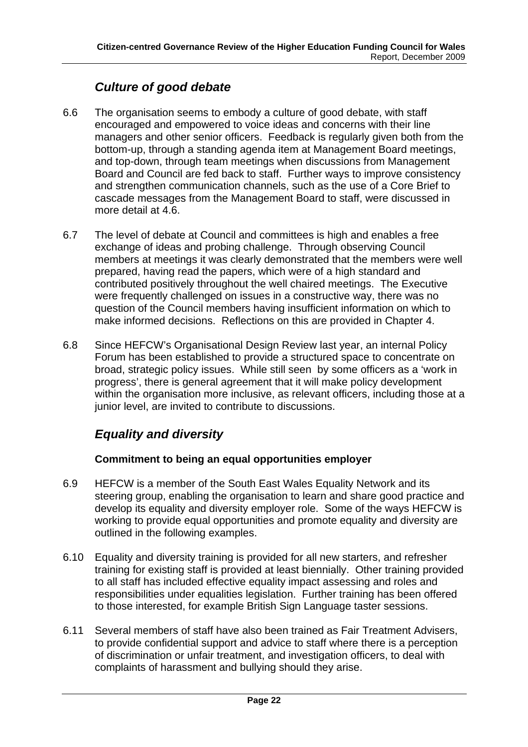# *Culture of good debate*

- 6.6 The organisation seems to embody a culture of good debate, with staff encouraged and empowered to voice ideas and concerns with their line managers and other senior officers. Feedback is regularly given both from the bottom-up, through a standing agenda item at Management Board meetings, and top-down, through team meetings when discussions from Management Board and Council are fed back to staff. Further ways to improve consistency and strengthen communication channels, such as the use of a Core Brief to cascade messages from the Management Board to staff, were discussed in more detail at 4.6.
- 6.7 The level of debate at Council and committees is high and enables a free exchange of ideas and probing challenge. Through observing Council members at meetings it was clearly demonstrated that the members were well prepared, having read the papers, which were of a high standard and contributed positively throughout the well chaired meetings. The Executive were frequently challenged on issues in a constructive way, there was no question of the Council members having insufficient information on which to make informed decisions. Reflections on this are provided in Chapter 4.
- 6.8 Since HEFCW's Organisational Design Review last year, an internal Policy Forum has been established to provide a structured space to concentrate on broad, strategic policy issues. While still seen by some officers as a 'work in progress', there is general agreement that it will make policy development within the organisation more inclusive, as relevant officers, including those at a junior level, are invited to contribute to discussions.

# *Equality and diversity*

### **Commitment to being an equal opportunities employer**

- 6.9 HEFCW is a member of the South East Wales Equality Network and its steering group, enabling the organisation to learn and share good practice and develop its equality and diversity employer role. Some of the ways HEFCW is working to provide equal opportunities and promote equality and diversity are outlined in the following examples.
- 6.10 Equality and diversity training is provided for all new starters, and refresher training for existing staff is provided at least biennially. Other training provided to all staff has included effective equality impact assessing and roles and responsibilities under equalities legislation. Further training has been offered to those interested, for example British Sign Language taster sessions.
- 6.11 Several members of staff have also been trained as Fair Treatment Advisers, to provide confidential support and advice to staff where there is a perception of discrimination or unfair treatment, and investigation officers, to deal with complaints of harassment and bullying should they arise.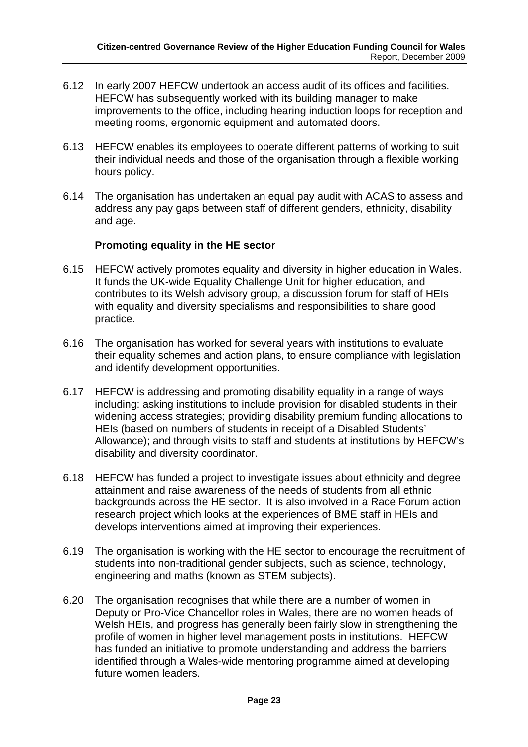- 6.12 In early 2007 HEFCW undertook an access audit of its offices and facilities. HEFCW has subsequently worked with its building manager to make improvements to the office, including hearing induction loops for reception and meeting rooms, ergonomic equipment and automated doors.
- 6.13 HEFCW enables its employees to operate different patterns of working to suit their individual needs and those of the organisation through a flexible working hours policy.
- 6.14 The organisation has undertaken an equal pay audit with ACAS to assess and address any pay gaps between staff of different genders, ethnicity, disability and age.

### **Promoting equality in the HE sector**

- 6.15 HEFCW actively promotes equality and diversity in higher education in Wales. It funds the UK-wide Equality Challenge Unit for higher education, and contributes to its Welsh advisory group, a discussion forum for staff of HEIs with equality and diversity specialisms and responsibilities to share good practice.
- 6.16 The organisation has worked for several years with institutions to evaluate their equality schemes and action plans, to ensure compliance with legislation and identify development opportunities.
- 6.17 HEFCW is addressing and promoting disability equality in a range of ways including: asking institutions to include provision for disabled students in their widening access strategies; providing disability premium funding allocations to HEIs (based on numbers of students in receipt of a Disabled Students' Allowance); and through visits to staff and students at institutions by HEFCW's disability and diversity coordinator.
- 6.18 HEFCW has funded a project to investigate issues about ethnicity and degree attainment and raise awareness of the needs of students from all ethnic backgrounds across the HE sector. It is also involved in a Race Forum action research project which looks at the experiences of BME staff in HEIs and develops interventions aimed at improving their experiences.
- 6.19 The organisation is working with the HE sector to encourage the recruitment of students into non-traditional gender subjects, such as science, technology, engineering and maths (known as STEM subjects).
- 6.20 The organisation recognises that while there are a number of women in Deputy or Pro-Vice Chancellor roles in Wales, there are no women heads of Welsh HEIs, and progress has generally been fairly slow in strengthening the profile of women in higher level management posts in institutions. HEFCW has funded an initiative to promote understanding and address the barriers identified through a Wales-wide mentoring programme aimed at developing future women leaders.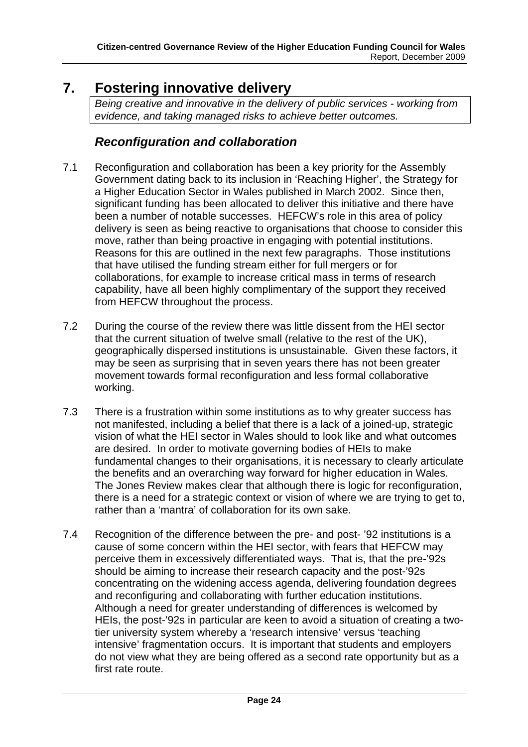# <span id="page-24-0"></span>**7. Fostering innovative delivery**

*Being creative and innovative in the delivery of public services - working from evidence, and taking managed risks to achieve better outcomes.* 

# *Reconfiguration and collaboration*

- 7.1 Reconfiguration and collaboration has been a key priority for the Assembly Government dating back to its inclusion in 'Reaching Higher', the Strategy for a Higher Education Sector in Wales published in March 2002. Since then, significant funding has been allocated to deliver this initiative and there have been a number of notable successes. HEFCW's role in this area of policy delivery is seen as being reactive to organisations that choose to consider this move, rather than being proactive in engaging with potential institutions. Reasons for this are outlined in the next few paragraphs. Those institutions that have utilised the funding stream either for full mergers or for collaborations, for example to increase critical mass in terms of research capability, have all been highly complimentary of the support they received from HEFCW throughout the process.
- 7.2 During the course of the review there was little dissent from the HEI sector that the current situation of twelve small (relative to the rest of the UK), geographically dispersed institutions is unsustainable. Given these factors, it may be seen as surprising that in seven years there has not been greater movement towards formal reconfiguration and less formal collaborative working.
- 7.3 There is a frustration within some institutions as to why greater success has not manifested, including a belief that there is a lack of a joined-up, strategic vision of what the HEI sector in Wales should to look like and what outcomes are desired. In order to motivate governing bodies of HEIs to make fundamental changes to their organisations, it is necessary to clearly articulate the benefits and an overarching way forward for higher education in Wales. The Jones Review makes clear that although there is logic for reconfiguration, there is a need for a strategic context or vision of where we are trying to get to, rather than a 'mantra' of collaboration for its own sake.
- 7.4 Recognition of the difference between the pre- and post- '92 institutions is a cause of some concern within the HEI sector, with fears that HEFCW may perceive them in excessively differentiated ways. That is, that the pre-'92s should be aiming to increase their research capacity and the post-'92s concentrating on the widening access agenda, delivering foundation degrees and reconfiguring and collaborating with further education institutions. Although a need for greater understanding of differences is welcomed by HEIs, the post-'92s in particular are keen to avoid a situation of creating a twotier university system whereby a 'research intensive' versus 'teaching intensive' fragmentation occurs. It is important that students and employers do not view what they are being offered as a second rate opportunity but as a first rate route.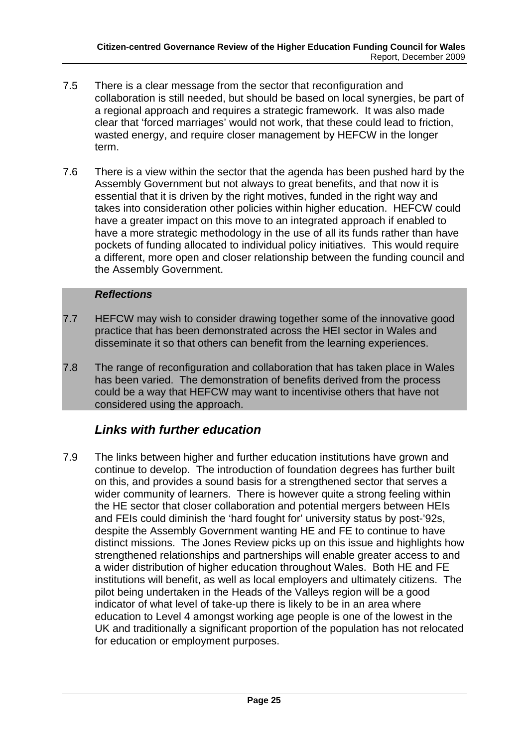- 7.5 There is a clear message from the sector that reconfiguration and collaboration is still needed, but should be based on local synergies, be part of a regional approach and requires a strategic framework. It was also made clear that 'forced marriages' would not work, that these could lead to friction, wasted energy, and require closer management by HEFCW in the longer term.
- 7.6 There is a view within the sector that the agenda has been pushed hard by the Assembly Government but not always to great benefits, and that now it is essential that it is driven by the right motives, funded in the right way and takes into consideration other policies within higher education. HEFCW could have a greater impact on this move to an integrated approach if enabled to have a more strategic methodology in the use of all its funds rather than have pockets of funding allocated to individual policy initiatives. This would require a different, more open and closer relationship between the funding council and the Assembly Government.

### *Reflections*

- 7.7 HEFCW may wish to consider drawing together some of the innovative good practice that has been demonstrated across the HEI sector in Wales and disseminate it so that others can benefit from the learning experiences.
- 7.8 The range of reconfiguration and collaboration that has taken place in Wales has been varied. The demonstration of benefits derived from the process could be a way that HEFCW may want to incentivise others that have not considered using the approach.

## *Links with further education*

7.9 The links between higher and further education institutions have grown and continue to develop. The introduction of foundation degrees has further built on this, and provides a sound basis for a strengthened sector that serves a wider community of learners. There is however quite a strong feeling within the HE sector that closer collaboration and potential mergers between HEIs and FEIs could diminish the 'hard fought for' university status by post-'92s, despite the Assembly Government wanting HE and FE to continue to have distinct missions. The Jones Review picks up on this issue and highlights how strengthened relationships and partnerships will enable greater access to and a wider distribution of higher education throughout Wales. Both HE and FE institutions will benefit, as well as local employers and ultimately citizens. The pilot being undertaken in the Heads of the Valleys region will be a good indicator of what level of take-up there is likely to be in an area where education to Level 4 amongst working age people is one of the lowest in the UK and traditionally a significant proportion of the population has not relocated for education or employment purposes.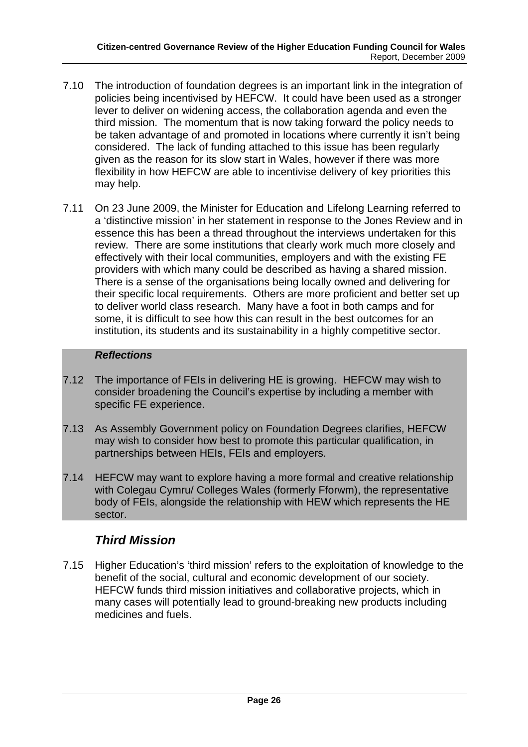- 7.10 The introduction of foundation degrees is an important link in the integration of policies being incentivised by HEFCW. It could have been used as a stronger lever to deliver on widening access, the collaboration agenda and even the third mission. The momentum that is now taking forward the policy needs to be taken advantage of and promoted in locations where currently it isn't being considered. The lack of funding attached to this issue has been regularly given as the reason for its slow start in Wales, however if there was more flexibility in how HEFCW are able to incentivise delivery of key priorities this may help.
- 7.11 On 23 June 2009, the Minister for Education and Lifelong Learning referred to a 'distinctive mission' in her statement in response to the Jones Review and in essence this has been a thread throughout the interviews undertaken for this review. There are some institutions that clearly work much more closely and effectively with their local communities, employers and with the existing FE providers with which many could be described as having a shared mission. There is a sense of the organisations being locally owned and delivering for their specific local requirements. Others are more proficient and better set up to deliver world class research. Many have a foot in both camps and for some, it is difficult to see how this can result in the best outcomes for an institution, its students and its sustainability in a highly competitive sector.

### *Reflections*

- 7.12 The importance of FEIs in delivering HE is growing. HEFCW may wish to consider broadening the Council's expertise by including a member with specific FE experience.
- 7.13 As Assembly Government policy on Foundation Degrees clarifies, HEFCW may wish to consider how best to promote this particular qualification, in partnerships between HEIs, FEIs and employers.
- 7.14 HEFCW may want to explore having a more formal and creative relationship with Colegau Cymru/ Colleges Wales (formerly Fforwm), the representative body of FEIs, alongside the relationship with HEW which represents the HE sector.

### *Third Mission*

7.15 Higher Education's 'third mission' refers to the exploitation of knowledge to the benefit of the social, cultural and economic development of our society. HEFCW funds third mission initiatives and collaborative projects, which in many cases will potentially lead to ground-breaking new products including medicines and fuels.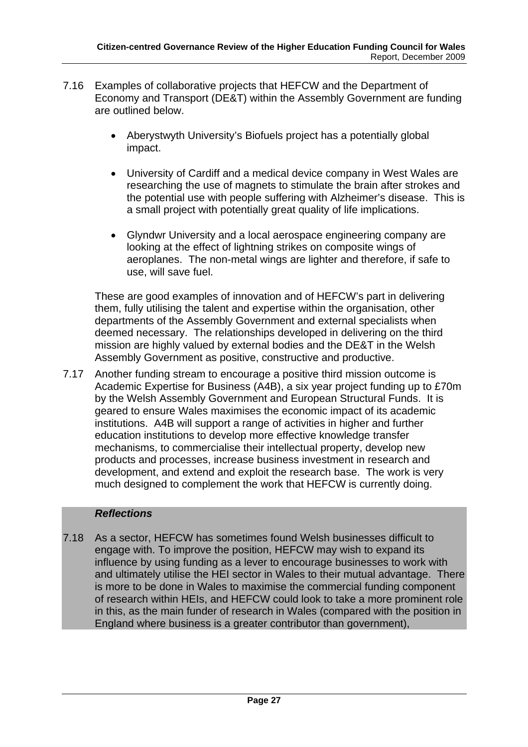- 7.16 Examples of collaborative projects that HEFCW and the Department of Economy and Transport (DE&T) within the Assembly Government are funding are outlined below.
	- Aberystwyth University's Biofuels project has a potentially global impact.
	- University of Cardiff and a medical device company in West Wales are researching the use of magnets to stimulate the brain after strokes and the potential use with people suffering with Alzheimer's disease. This is a small project with potentially great quality of life implications.
	- Glyndwr University and a local aerospace engineering company are looking at the effect of lightning strikes on composite wings of aeroplanes. The non-metal wings are lighter and therefore, if safe to use, will save fuel.

These are good examples of innovation and of HEFCW's part in delivering them, fully utilising the talent and expertise within the organisation, other departments of the Assembly Government and external specialists when deemed necessary. The relationships developed in delivering on the third mission are highly valued by external bodies and the DE&T in the Welsh Assembly Government as positive, constructive and productive.

7.17 Another funding stream to encourage a positive third mission outcome is Academic Expertise for Business (A4B), a six year project funding up to £70m by the Welsh Assembly Government and European Structural Funds. It is geared to ensure Wales maximises the economic impact of its academic institutions. A4B will support a range of activities in higher and further education institutions to develop more effective knowledge transfer mechanisms, to commercialise their intellectual property, develop new products and processes, increase business investment in research and development, and extend and exploit the research base. The work is very much designed to complement the work that HEFCW is currently doing.

#### *Reflections*

7.18 As a sector, HEFCW has sometimes found Welsh businesses difficult to engage with. To improve the position, HEFCW may wish to expand its influence by using funding as a lever to encourage businesses to work with and ultimately utilise the HEI sector in Wales to their mutual advantage. There is more to be done in Wales to maximise the commercial funding component of research within HEIs, and HEFCW could look to take a more prominent role in this, as the main funder of research in Wales (compared with the position in England where business is a greater contributor than government),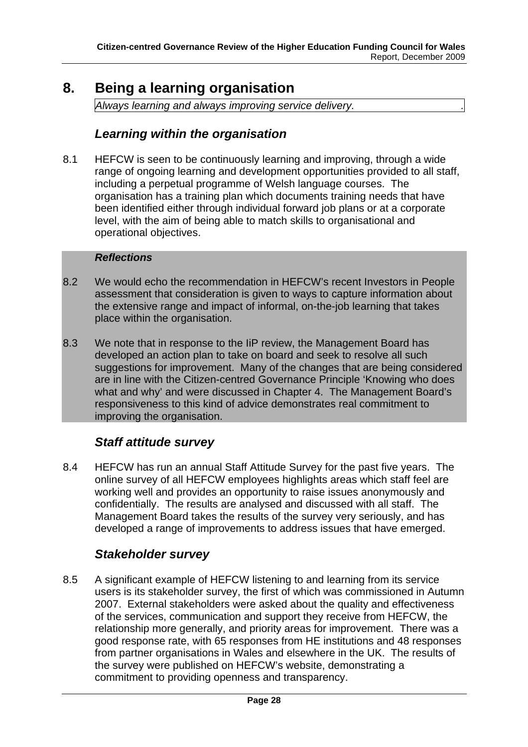# <span id="page-28-0"></span>**8. Being a learning organisation**

*Always learning and always improving service delivery. .* 

### *Learning within the organisation*

8.1 HEFCW is seen to be continuously learning and improving, through a wide range of ongoing learning and development opportunities provided to all staff, including a perpetual programme of Welsh language courses. The organisation has a training plan which documents training needs that have been identified either through individual forward job plans or at a corporate level, with the aim of being able to match skills to organisational and operational objectives.

#### *Reflections*

- 8.2 We would echo the recommendation in HEFCW's recent Investors in People assessment that consideration is given to ways to capture information about the extensive range and impact of informal, on-the-job learning that takes place within the organisation.
- 8.3 We note that in response to the IiP review, the Management Board has developed an action plan to take on board and seek to resolve all such suggestions for improvement. Many of the changes that are being considered are in line with the Citizen-centred Governance Principle 'Knowing who does what and why' and were discussed in Chapter 4. The Management Board's responsiveness to this kind of advice demonstrates real commitment to improving the organisation.

### *Staff attitude survey*

8.4 HEFCW has run an annual Staff Attitude Survey for the past five years. The online survey of all HEFCW employees highlights areas which staff feel are working well and provides an opportunity to raise issues anonymously and confidentially. The results are analysed and discussed with all staff. The Management Board takes the results of the survey very seriously, and has developed a range of improvements to address issues that have emerged.

### *Stakeholder survey*

8.5 A significant example of HEFCW listening to and learning from its service users is its stakeholder survey, the first of which was commissioned in Autumn 2007. External stakeholders were asked about the quality and effectiveness of the services, communication and support they receive from HEFCW, the relationship more generally, and priority areas for improvement. There was a good response rate, with 65 responses from HE institutions and 48 responses from partner organisations in Wales and elsewhere in the UK. The results of the survey were published on HEFCW's website, demonstrating a commitment to providing openness and transparency.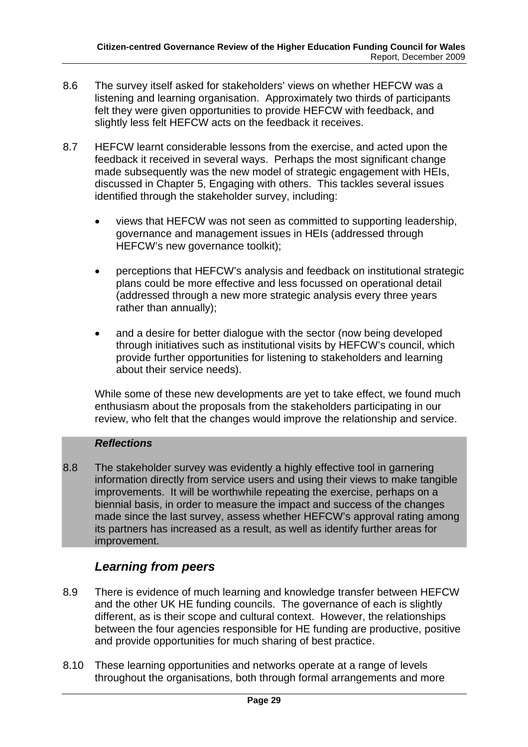- 8.6 The survey itself asked for stakeholders' views on whether HEFCW was a listening and learning organisation. Approximately two thirds of participants felt they were given opportunities to provide HEFCW with feedback, and slightly less felt HEFCW acts on the feedback it receives.
- 8.7 HEFCW learnt considerable lessons from the exercise, and acted upon the feedback it received in several ways. Perhaps the most significant change made subsequently was the new model of strategic engagement with HEIs, discussed in Chapter 5, Engaging with others. This tackles several issues identified through the stakeholder survey, including:
	- views that HEFCW was not seen as committed to supporting leadership, governance and management issues in HEIs (addressed through HEFCW's new governance toolkit);
	- perceptions that HEFCW's analysis and feedback on institutional strategic plans could be more effective and less focussed on operational detail (addressed through a new more strategic analysis every three years rather than annually);
	- and a desire for better dialogue with the sector (now being developed through initiatives such as institutional visits by HEFCW's council, which provide further opportunities for listening to stakeholders and learning about their service needs).

While some of these new developments are yet to take effect, we found much enthusiasm about the proposals from the stakeholders participating in our review, who felt that the changes would improve the relationship and service.

### *Reflections*

8.8 The stakeholder survey was evidently a highly effective tool in garnering information directly from service users and using their views to make tangible improvements. It will be worthwhile repeating the exercise, perhaps on a biennial basis, in order to measure the impact and success of the changes made since the last survey, assess whether HEFCW's approval rating among its partners has increased as a result, as well as identify further areas for improvement.

### *Learning from peers*

- 8.9 There is evidence of much learning and knowledge transfer between HEFCW and the other UK HE funding councils. The governance of each is slightly different, as is their scope and cultural context. However, the relationships between the four agencies responsible for HE funding are productive, positive and provide opportunities for much sharing of best practice.
- 8.10 These learning opportunities and networks operate at a range of levels throughout the organisations, both through formal arrangements and more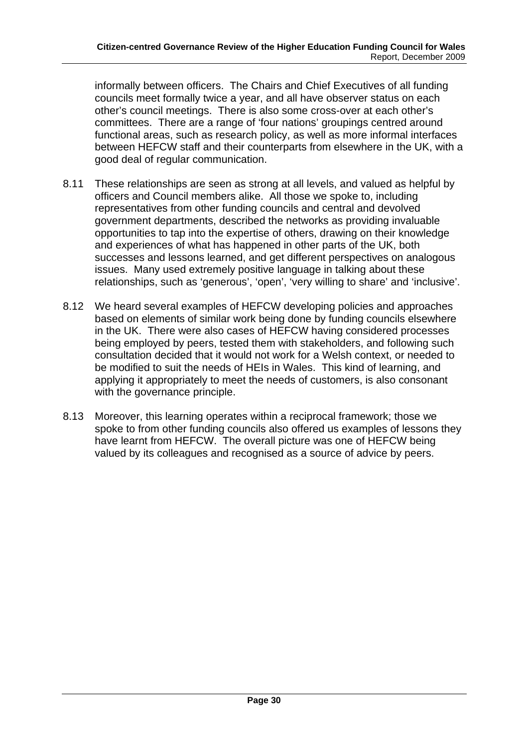informally between officers. The Chairs and Chief Executives of all funding councils meet formally twice a year, and all have observer status on each other's council meetings. There is also some cross-over at each other's committees. There are a range of 'four nations' groupings centred around functional areas, such as research policy, as well as more informal interfaces between HEFCW staff and their counterparts from elsewhere in the UK, with a good deal of regular communication.

- 8.11 These relationships are seen as strong at all levels, and valued as helpful by officers and Council members alike. All those we spoke to, including representatives from other funding councils and central and devolved government departments, described the networks as providing invaluable opportunities to tap into the expertise of others, drawing on their knowledge and experiences of what has happened in other parts of the UK, both successes and lessons learned, and get different perspectives on analogous issues. Many used extremely positive language in talking about these relationships, such as 'generous', 'open', 'very willing to share' and 'inclusive'.
- 8.12 We heard several examples of HEFCW developing policies and approaches based on elements of similar work being done by funding councils elsewhere in the UK. There were also cases of HEFCW having considered processes being employed by peers, tested them with stakeholders, and following such consultation decided that it would not work for a Welsh context, or needed to be modified to suit the needs of HEIs in Wales. This kind of learning, and applying it appropriately to meet the needs of customers, is also consonant with the governance principle.
- 8.13 Moreover, this learning operates within a reciprocal framework; those we spoke to from other funding councils also offered us examples of lessons they have learnt from HEFCW. The overall picture was one of HEFCW being valued by its colleagues and recognised as a source of advice by peers.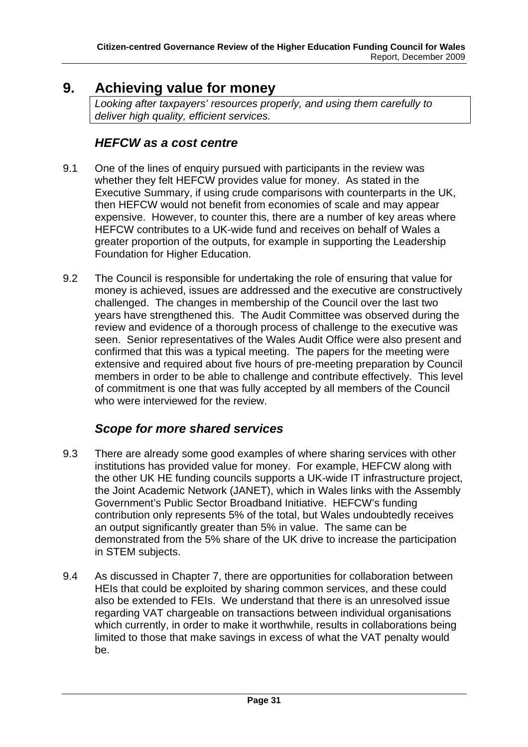# <span id="page-31-0"></span>**9. Achieving value for money**

*Looking after taxpayers' resources properly, and using them carefully to deliver high quality, efficient services.* 

### *HEFCW as a cost centre*

- 9.1 One of the lines of enquiry pursued with participants in the review was whether they felt HEFCW provides value for money. As stated in the Executive Summary, if using crude comparisons with counterparts in the UK, then HEFCW would not benefit from economies of scale and may appear expensive. However, to counter this, there are a number of key areas where HEFCW contributes to a UK-wide fund and receives on behalf of Wales a greater proportion of the outputs, for example in supporting the Leadership Foundation for Higher Education.
- 9.2 The Council is responsible for undertaking the role of ensuring that value for money is achieved, issues are addressed and the executive are constructively challenged. The changes in membership of the Council over the last two years have strengthened this. The Audit Committee was observed during the review and evidence of a thorough process of challenge to the executive was seen. Senior representatives of the Wales Audit Office were also present and confirmed that this was a typical meeting. The papers for the meeting were extensive and required about five hours of pre-meeting preparation by Council members in order to be able to challenge and contribute effectively. This level of commitment is one that was fully accepted by all members of the Council who were interviewed for the review.

## *Scope for more shared services*

- 9.3 There are already some good examples of where sharing services with other institutions has provided value for money. For example, HEFCW along with the other UK HE funding councils supports a UK-wide IT infrastructure project, the Joint Academic Network (JANET), which in Wales links with the Assembly Government's Public Sector Broadband Initiative. HEFCW's funding contribution only represents 5% of the total, but Wales undoubtedly receives an output significantly greater than 5% in value. The same can be demonstrated from the 5% share of the UK drive to increase the participation in STEM subjects.
- 9.4 As discussed in Chapter 7, there are opportunities for collaboration between HEIs that could be exploited by sharing common services, and these could also be extended to FEIs. We understand that there is an unresolved issue regarding VAT chargeable on transactions between individual organisations which currently, in order to make it worthwhile, results in collaborations being limited to those that make savings in excess of what the VAT penalty would be.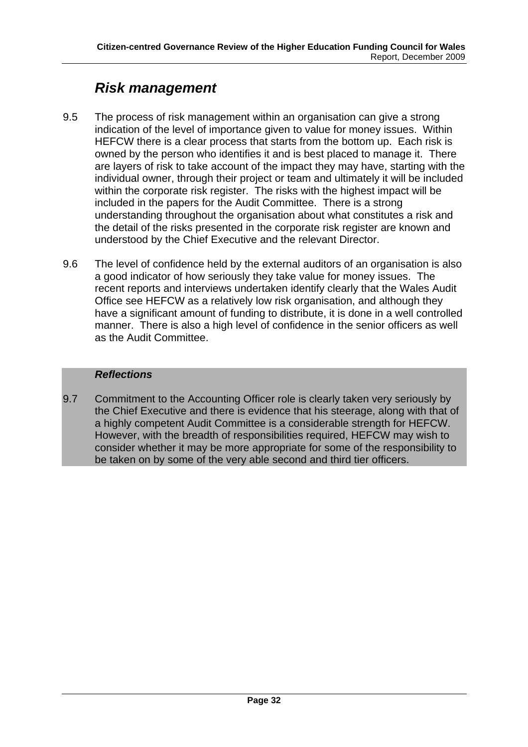# *Risk management*

- 9.5 The process of risk management within an organisation can give a strong indication of the level of importance given to value for money issues. Within HEFCW there is a clear process that starts from the bottom up. Each risk is owned by the person who identifies it and is best placed to manage it. There are layers of risk to take account of the impact they may have, starting with the individual owner, through their project or team and ultimately it will be included within the corporate risk register. The risks with the highest impact will be included in the papers for the Audit Committee. There is a strong understanding throughout the organisation about what constitutes a risk and the detail of the risks presented in the corporate risk register are known and understood by the Chief Executive and the relevant Director.
- 9.6 The level of confidence held by the external auditors of an organisation is also a good indicator of how seriously they take value for money issues. The recent reports and interviews undertaken identify clearly that the Wales Audit Office see HEFCW as a relatively low risk organisation, and although they have a significant amount of funding to distribute, it is done in a well controlled manner. There is also a high level of confidence in the senior officers as well as the Audit Committee.

### *Reflections*

9.7 Commitment to the Accounting Officer role is clearly taken very seriously by the Chief Executive and there is evidence that his steerage, along with that of a highly competent Audit Committee is a considerable strength for HEFCW. However, with the breadth of responsibilities required, HEFCW may wish to consider whether it may be more appropriate for some of the responsibility to be taken on by some of the very able second and third tier officers.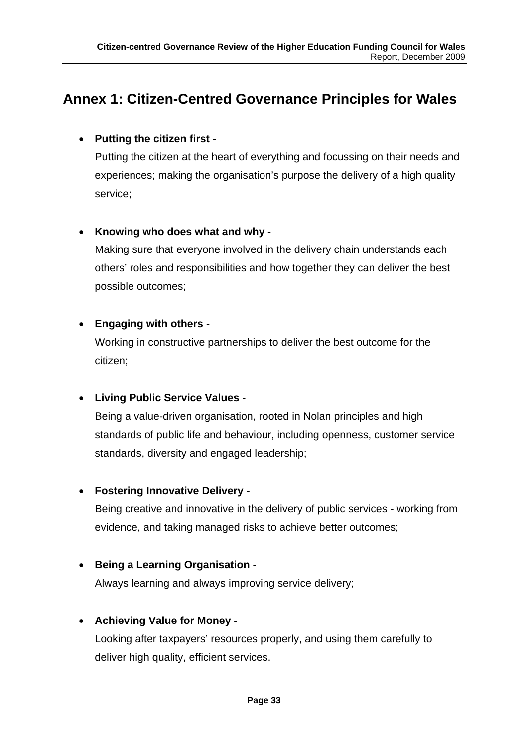# <span id="page-33-0"></span>**Annex 1: Citizen-Centred Governance Principles for Wales**

### • **Putting the citizen first -**

Putting the citizen at the heart of everything and focussing on their needs and experiences; making the organisation's purpose the delivery of a high quality service;

### • **Knowing who does what and why -**

Making sure that everyone involved in the delivery chain understands each others' roles and responsibilities and how together they can deliver the best possible outcomes;

### • **Engaging with others -**

Working in constructive partnerships to deliver the best outcome for the citizen;

### • **Living Public Service Values -**

Being a value-driven organisation, rooted in Nolan principles and high standards of public life and behaviour, including openness, customer service standards, diversity and engaged leadership;

### • **Fostering Innovative Delivery -**

Being creative and innovative in the delivery of public services - working from evidence, and taking managed risks to achieve better outcomes;

### • **Being a Learning Organisation -**

Always learning and always improving service delivery;

### • **Achieving Value for Money -**

Looking after taxpayers' resources properly, and using them carefully to deliver high quality, efficient services.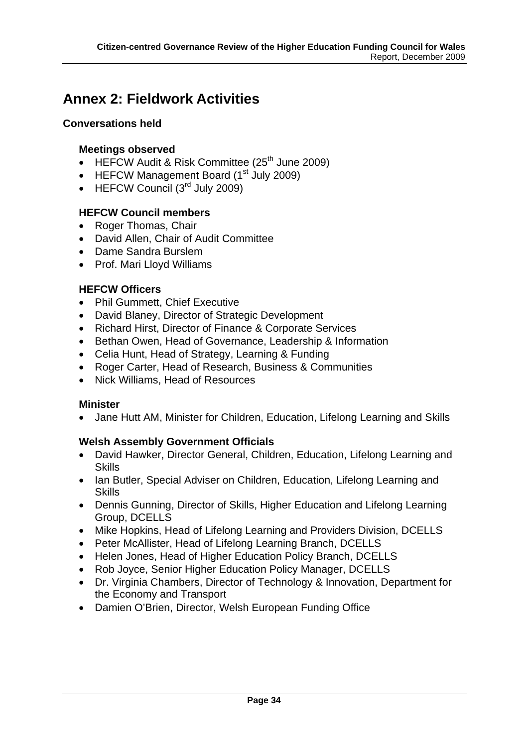# <span id="page-34-0"></span>**Annex 2: Fieldwork Activities**

### **Conversations held**

### **Meetings observed**

- HEFCW Audit & Risk Committee  $(25<sup>th</sup>$  June 2009)
- HEFCW Management Board (1<sup>st</sup> July 2009)
- HEFCW Council  $(3<sup>rd</sup>$  July 2009)

### **HEFCW Council members**

- Roger Thomas, Chair
- David Allen, Chair of Audit Committee
- Dame Sandra Burslem
- Prof. Mari Lloyd Williams

### **HEFCW Officers**

- Phil Gummett, Chief Executive
- David Blaney, Director of Strategic Development
- Richard Hirst, Director of Finance & Corporate Services
- Bethan Owen, Head of Governance, Leadership & Information
- Celia Hunt, Head of Strategy, Learning & Funding
- Roger Carter, Head of Research, Business & Communities
- Nick Williams, Head of Resources

### **Minister**

• Jane Hutt AM, Minister for Children, Education, Lifelong Learning and Skills

### **Welsh Assembly Government Officials**

- David Hawker, Director General, Children, Education, Lifelong Learning and **Skills**
- Ian Butler, Special Adviser on Children, Education, Lifelong Learning and **Skills**
- Dennis Gunning, Director of Skills, Higher Education and Lifelong Learning Group, DCELLS
- Mike Hopkins, Head of Lifelong Learning and Providers Division, DCELLS
- Peter McAllister, Head of Lifelong Learning Branch, DCELLS
- Helen Jones, Head of Higher Education Policy Branch, DCELLS
- Rob Joyce, Senior Higher Education Policy Manager, DCELLS
- Dr. Virginia Chambers, Director of Technology & Innovation, Department for the Economy and Transport
- Damien O'Brien, Director, Welsh European Funding Office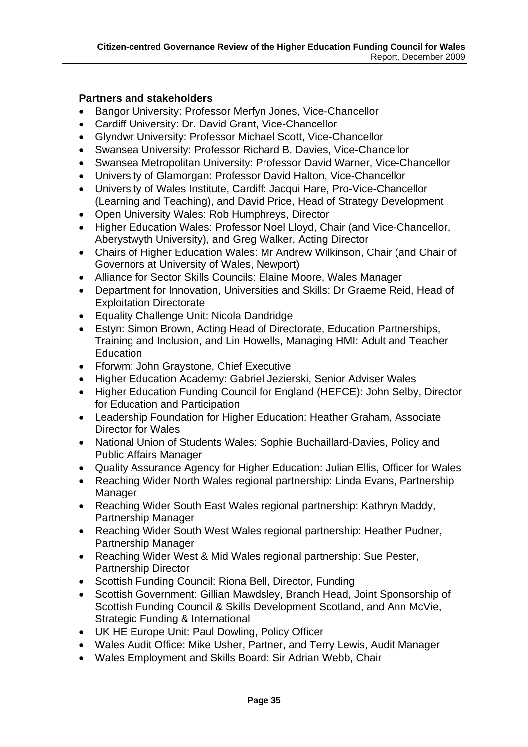#### **Partners and stakeholders**

- Bangor University: Professor Merfyn Jones, Vice-Chancellor
- Cardiff University: Dr. David Grant, Vice-Chancellor
- Glyndwr University: Professor Michael Scott, Vice-Chancellor
- Swansea University: Professor Richard B. Davies, Vice-Chancellor
- Swansea Metropolitan University: Professor David Warner, Vice-Chancellor
- University of Glamorgan: Professor David Halton, Vice-Chancellor
- University of Wales Institute, Cardiff: Jacqui Hare, Pro-Vice-Chancellor (Learning and Teaching), and David Price, Head of Strategy Development
- Open University Wales: Rob Humphreys, Director
- Higher Education Wales: Professor Noel Lloyd, Chair (and Vice-Chancellor, Aberystwyth University), and Greg Walker, Acting Director
- Chairs of Higher Education Wales: Mr Andrew Wilkinson, Chair (and Chair of Governors at University of Wales, Newport)
- Alliance for Sector Skills Councils: Elaine Moore, Wales Manager
- Department for Innovation, Universities and Skills: Dr Graeme Reid, Head of Exploitation Directorate
- Equality Challenge Unit: Nicola Dandridge
- Estyn: Simon Brown, Acting Head of Directorate, Education Partnerships, Training and Inclusion, and Lin Howells, Managing HMI: Adult and Teacher **Education**
- Fforwm: John Graystone, Chief Executive
- Higher Education Academy: Gabriel Jezierski, Senior Adviser Wales
- Higher Education Funding Council for England (HEFCE): John Selby, Director for Education and Participation
- Leadership Foundation for Higher Education: Heather Graham, Associate Director for Wales
- National Union of Students Wales: Sophie Buchaillard-Davies, Policy and Public Affairs Manager
- Quality Assurance Agency for Higher Education: Julian Ellis, Officer for Wales
- Reaching Wider North Wales regional partnership: Linda Evans, Partnership Manager
- Reaching Wider South East Wales regional partnership: Kathryn Maddy, Partnership Manager
- Reaching Wider South West Wales regional partnership: Heather Pudner, Partnership Manager
- Reaching Wider West & Mid Wales regional partnership: Sue Pester, Partnership Director
- Scottish Funding Council: Riona Bell, Director, Funding
- Scottish Government: Gillian Mawdsley, Branch Head, Joint Sponsorship of Scottish Funding Council & Skills Development Scotland, and Ann McVie, Strategic Funding & International
- UK HE Europe Unit: Paul Dowling, Policy Officer
- Wales Audit Office: Mike Usher, Partner, and Terry Lewis, Audit Manager
- Wales Employment and Skills Board: Sir Adrian Webb, Chair